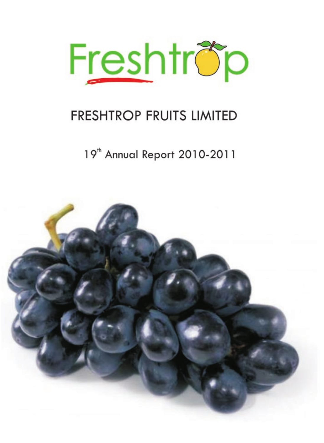

19<sup>th</sup> Annual Report 2010-2011

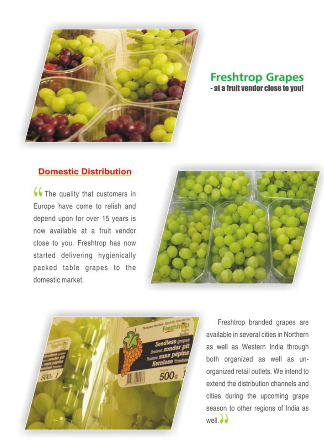

## **Freshtrop Grapes** - at a fruit vendor close to you!

## **Domestic Distribution**

(C) The quality that customers in Europe have come to relish and depend upon for over 15 years is now available at a fruit vendor close to you. Freshtrop has now started delivering hygienically packed table grapes to the domestic market.





Freshtrop branded grapes are available in several cities in Northern as well as Western India through both organized as well as unorganized retail outlets. We intend to extend the distribution channels and cities during the upcoming grape season to other regions of India as  $well.$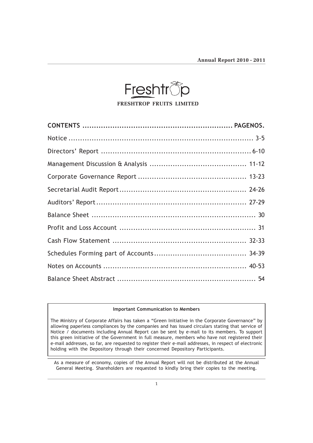

### Important Communication to Members

The Ministry of Corporate Affairs has taken a "Green Initiative in the Corporate Governance" by allowing paperless compliances by the companies and has issued circulars stating that service of Notice / documents including Annual Report can be sent by e-mail to its members. To support this green initiative of the Government in full measure, members who have not registered their e-mail addresses, so far, are requested to register their e-mail addresses, in respect of electronic holding with the Depository through their concerned Depository Participants.

As a measure of economy, copies of the Annual Report will not be distributed at the Annual General Meeting. Shareholders are requested to kindly bring their copies to the meeting.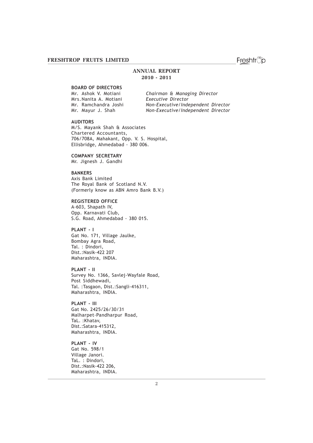### ANNUAL REPORT 2010 - 2011

### BOARD OF DIRECTORS

Mrs.Nanita A. Motiani Executive Director

Mr. Ashok V. Motiani Chairman & Managing Director Mr. Ramchandra Joshi Non-Executive/Independent Director<br>Mr. Mayur J. Shah Non-Executive/Independent Director Non-Executive/Independent Director

### AUDITORS

M/S. Mayank Shah & Associates Chartered Accountants, 706/708A, Mahakant, Opp. V. S. Hospital, Ellisbridge, Ahmedabad - 380 006.

COMPANY SECRETARY

Mr. Jignesh J. Gandhi

### BANKERS

Axis Bank Limited The Royal Bank of Scotland N.V. (Formerly know as ABN Amro Bank B.V.)

### REGISTERED OFFICE

A-603, Shapath IV, Opp. Karnavati Club, S.G. Road, Ahmedabad - 380 015.

### PLANT - I

Gat No. 171, Village Jaulke, Bombay Agra Road, Tal. : Dindori, Dist.:Nasik-422 207 Maharashtra, INDIA.

PLANT - II Survey No. 1366, Savlej-Wayfale Road, Post Siddhewadi, Tal. :Tasgaon, Dist.:Sangli-416311, Maharashtra, INDIA.

PLANT - III Gat No. 2425/26/30/31 Malharpet-Pandharpur Road, TaL. :Khatav, Dist.:Satara-415312, Maharashtra, INDIA.

PLANT - IV Gat No. 598/1 Village Janori. TaL. : Dindori, Dist.:Nasik-422 206, Maharashtra, INDIA.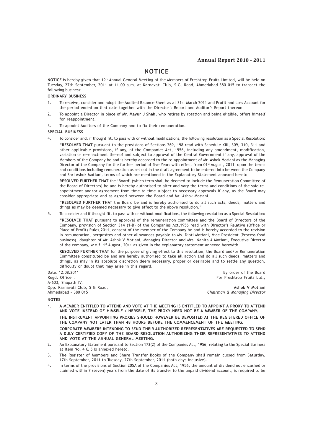### NOTICE

NOTICE is hereby given that 19<sup>th</sup> Annual General Meeting of the Members of Freshtrop Fruits Limited, will be held on Tuesday, 27th September, 2011 at 11.00 a.m. at Karnavati Club, S.G. Road, Ahmedabad-380 015 to transact the following business:

### ORDINARY BUSINESS

- 1. To receive, consider and adopt the Audited Balance Sheet as at 31st March 2011 and Profit and Loss Account for the period ended on that date together with the Director's Report and Auditor's Report thereon.
- 2. To appoint a Director in place of Mr. Mayur J Shah, who retires by rotation and being eligible, offers himself for reappointment.
- 3. To appoint Auditors of the Company and to fix their remuneration.

#### SPECIAL BUSINESS

4. To consider and, if thought fit, to pass with or without modifications, the following resolution as a Special Resolution: "RESOLVED THAT pursuant to the provisions of Sections 269, 198 read with Schedule XIII, 309, 310, 311 and other applicable provisions, if any, of the Companies Act, 1956, including any amendment, modification, variation or re-enactment thereof and subject to approval of the Central Government if any, approval of the Members of the Company be and is hereby accorded to the re-appointment of Mr. Ashok Motiani as the Managing Director of the Company for the further period of five Years with effect from 01<sup>st</sup> August, 2011, upon the terms and conditions including remuneration as set out in the draft agreement to be entered into between the Company and Shri Ashok Motiani, terms of which are mentioned in the Explanatory Statement annexed hereto,

RESOLVED FURTHER THAT the 'Board' (which term shall be deemed to include the Remuneration Committee of the Board of Directors) be and is hereby authorised to alter and vary the terms and conditions of the said reappointment and/or agreement from time to time subject to necessary approvals if any, as the Board may consider appropriate and as agreed between the Board and Mr. Ashok Motiani.

"RESOLVED FURTHER THAT the Board be and is hereby authorised to do all such acts, deeds, matters and things as may be deemed necessary to give effect to the above resolution."

5. To consider and if thought fit, to pass with or without modifications, the following resolution as a Special Resolution:

"RESOLVED THAT pursuant to approval of the remuneration committee and the Board of Directors of the Company, provision of Section 314 (1-B) of the Companies Act,1956 read with Director's Relative (Office or Place of Profit) Rules,2011, consent of the member of the Company be and is hereby accorded to the revision in remuneration, perquisites and other allowances payable to Ms. Dipti Motiani, Vice President (Process food business), daughter of Mr. Ashok V Motiani, Managing Director and Mrs. Nanita A Motiani, Executive Director of the company, w.e.f. 1<sup>st</sup> August, 2011 as given in the explanatory statement annexed herewith.

RESOLVED FURTHER THAT for the purpose of giving effect to this resolution, the Board and/or Remuneration Committee constituted be and are hereby authorised to take all action and do all such deeds, matters and things, as may in its absolute discretion deem necessary, proper or desirable and to settle any question, difficulty or doubt that may arise in this regard.

Date: 12.08.2011 By order of the Board Regd. Office : For Freshtrop Fruits Ltd., A-603, Shapath IV, Opp. Karnavati Club, S G Road, Ashok V Motiani Club, S G Road, Ashok V Motiani Club, Ashok V Motiani Ahmedabad – 380 015 Chairman & Managing Director

#### NOTES

- 1. A MEMBER ENTITLED TO ATTEND AND VOTE AT THE MEETING IS ENTITLED TO APPOINT A PROXY TO ATTEND AND VOTE INSTEAD OF HIMSELF / HERSELF. THE PROXY NEED NOT BE A MEMBER OF THE COMPANY. THE INSTRUMENT APPOINTING PROXIES SHOULD HOWEVER BE DEPOSITED AT THE REGISTERED OFFICE OF THE COMPANY NOT LATER THAN 48 HOURS BEFORE THE COMMENCEMENT OF THE MEETING. CORPORATE MEMBERS INTENDING TO SEND THEIR AUTHORIZED REPRESENTATIVES ARE REQUESTED TO SEND A DULY CERTIFIED COPY OF THE BOARD RESOLUTION AUTHORIZING THEIR REPRESENTATIVES TO ATTEND AND VOTE AT THE ANNUAL GENERAL MEETING.
- 2. An Explanatory Statement pursuant to Section 173(2) of the Companies Act, 1956, relating to the Special Business at Item No. 4 & 5 is annexed hereto.
- 3. The Register of Members and Share Transfer Books of the Company shall remain closed from Saturday, 17th September, 2011 to Tuesday, 27th September, 2011 (both days inclusive).
- 4. In terms of the provisions of Section 205A of the Companies Act, 1956, the amount of dividend not encashed or claimed within 7 (seven) years from the date of its transfer to the unpaid dividend account, is required to be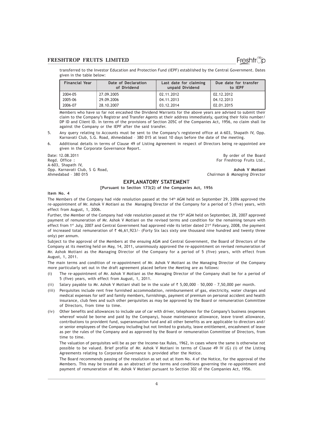Freshtr

transferred to the Investor Education and Protection Fund (IEPF) established by the Central Government. Dates given in the table below:

| <b>Financial Year</b> | Date of Declaration<br>of Dividend | Last date for claiming<br>unpaid Dividend | Due date for transfer<br>to IEPF |
|-----------------------|------------------------------------|-------------------------------------------|----------------------------------|
| 2004-05               | 27.09.2005                         | 02.11.2012                                | 02.12.2012                       |
| 2005-06               | 29.09.2006                         | 04.11.2013                                | 04.12.2013                       |
| 2006-07               | 28.10.2007                         | 03.12.2014                                | 02.01.2015                       |

Members who have so far not encashed the Dividend Warrants for the above years are advised to submit their claim to the Company's Registrar and Transfer Agents at their address immediately, quoting their folio number/ DP ID and Client ID. In terms of the provisions of Section 205C of the Companies Act, 1956, no claim shall lie against the Company or the IEPF after the said transfer.

- 5. Any query relating to Accounts must be sent to the Company's registered office at A-603, Shapath IV, Opp. Karnavati Club, S.G. Road, Ahmedabad – 380 015 at least 10 days before the date of the meeting.
- 6. Additional details in terms of Clause 49 of Listing Agreement in respect of Directors being re-appointed are given in the Corporate Governance Report.

Date: 12.08.2011 By order of the Board Regd. Office : For Freshtrop Fruits Ltd., A-603, Shapath IV, Opp. Karnavati Club, S G Road, Ashok V Motiani

Chairman & Managing Director

EXPLANATORY STATEMENT

[Pursuant to Section 173(2) of the Companies Act, 1956

#### Item No. 4

The Members of the Company had vide resolution passed at the 14<sup>th</sup> AGM held on September 29, 2006 approved the re-appointment of Mr. Ashok V Motiani as the Managing Director of the Company for a period of 5 (five) years, with effect from August, 1, 2006.

Further, the Member of the Company had vide resolution passed at the 15<sup>th</sup> AGM held on September, 28, 2007 approved payment of remuneration of Mr. Ashok V Motiani on the revised terms and condition for the remaining tenure with effect from 1st July, 2007 and Central Government had approved vide its letter dated 21st February, 2008, the payment of increased total remuneration of  $\bar{\tau}$  46,61,923/- (Forty Six lacs sixty one thousand nine hundred and twenty three only) per annum.

Subject to the approval of the Members at the ensuing AGM and Central Government, the Board of Directors of the Company at its meeting held on May, 14, 2011, unanimously approved the re-appointment on revised remuneration of Mr. Ashok Motiani as the Managing Director of the Company for a period of 5 (five) years, with effect from August, 1, 2011.

The main terms and condition of re-appointment of Mr. Ashok V Motiani as the Managing Director of the Company more particularly set out in the draft agreement placed before the Meeting are as follows:

- (i) The re-appointment of Mr. Ashok V Motiani as the Managing Director of the Company shall be for a period of 5 (five) years, with effect from August, 1, 2011.
- (ii) Salary payable to Mr. Ashok V Motiani shall be in the scale of  $\bar{\tau}$  5,00,000 50,000 7,50,000 per month.
- (iii) Perquisites include rent free furnished accommodation, reimbursement of gas, electricity, water charges and medical expenses for self and family members, furnishings, payment of premium on personal accident and health insurance, club fees and such other perquisites as may be approved by the Board or remuneration Committee of Directors, from time to time.
- (iv) Other benefits and allowances to include use of car with driver, telephones for the Company's business (expenses whereof would be borne and paid by the Company), house maintenance allowance, leave travel allowance, contributions to provident fund, superannuation fund and all other benefits as are applicable to directors and/ or senior employees of the Company including but not limited to gratuity, leave entitlement, encashment of leave as per the rules of the Company and as approved by the Board or remuneration Committee of Directors, from time to time.

The valuation of perquisites will be as per the Income-tax Rules, 1962, in cases where the same is otherwise not possible to be valued. Brief profile of Mr. Ashok V Motiani in terms of Clause 49 IV (G) (i) of the Listing Agreements relating to Corporate Governance is provided after the Notice.

The Board recommends passing of the resolution as set out at Item No. 4 of the Notice, for the approval of the Members. This may be treated as an abstract of the terms and conditions governing the re-appointment and payment of remuneration of Mr. Ashok V Motiani pursuant to Section 302 of the Companies Act, 1956.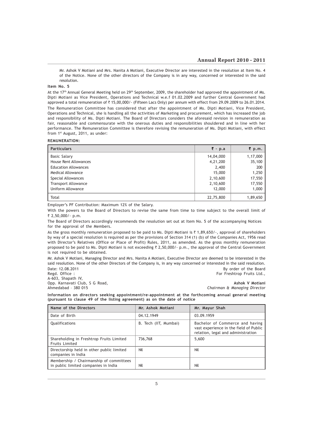Mr. Ashok V Motiani and Mrs. Nanita A Motiani, Executive Director are interested in the resolution at Item No. 4 of the Notice. None of the other directors of the Company is in any way, concerned or interested in the said resolution.

### Item No. 5

At the 17<sup>th</sup> Annual General Meeting held on 29<sup>th</sup> September, 2009, the shareholder had approved the appointment of Ms. Dipti Motiani as Vice President, Operations and Technical w.e.f 01.02.2009 and further Central Government had approved a total remuneration of  $\bar{\tau}$  15,00,000/- (Fifteen Lacs Only) per annum with effect from 29.09.2009 to 26.01.2014. The Remuneration Committee has considered that after the appointment of Ms. Dipti Motiani, Vice President, Operations and Technical, she is handling all the activities of Marketing and procurement, which has increased the job and responsibility of Ms. Dipti Motiani. The Board of Directors considers the aforesaid revision in remuneration as fair, reasonable and commensurate with the onerous duties and responsibilities shouldered and in line with her performance. The Remuneration Committee is therefore revising the remuneration of Ms. Dipti Motiani, with effect from 1st August, 2011, as under:

### REMUNERATION:

| <b>Particulars</b>          | ₹ - p.a   | $\bar{\xi}$ p.m. |
|-----------------------------|-----------|------------------|
| <b>Basic Salary</b>         | 14,04,000 | 1,17,000         |
| House Rent Allowances       | 4,21,200  | 35,100           |
| <b>Education Allowances</b> | 2,400     | 200              |
| <b>Medical Allowance</b>    | 15,000    | 1,250            |
| Special Allowances          | 2,10,600  | 17,550           |
| <b>Transport Allowance</b>  | 2,10,600  | 17,550           |
| Uniform Allowance           | 12,000    | 1,000            |
| Total                       | 22,75,800 | 1,89,650         |

Employer's PF Contribution: Maximum 12% of the Salary.

With the powers to the Board of Directors to revise the same from time to time subject to the overall limit of ` 2,50,000/- p.m.

The Board of Directors accordingly recommends the resolution set out at Item No. 5 of the accompanying Notices for the approval of the Members.

As the gross monthly remuneration proposed to be paid to Ms. Dipti Motiani is  $\bar{\tau}$  1,89,650/-, approval of shareholders by way of a special resolution is required as per the provisions of Section 314 (1) (b) of the Companies Act, 1956 read with Director's Relatives (Office or Place of Profit) Rules, 2011, as amended. As the gross monthly remuneration proposed to be paid to Ms. Dipti Motiani is not exceeding  $\bar{\tau}$  2,50,000/- p.m., the approval of the Central Government is not required to be obtained.

Mr. Ashok V Motiani, Managing Director and Mrs. Nanita A Motiani, Executive Director are deemed to be interested in the said resolution. None of the other Directors of the Company is, in any way concerned or interested in the said resolution. Date: 12.08.2011 By order of the Board Regd. Office : For Freshtrop Fruits Ltd.,

A-603, Shapath IV, Opp. Karnavati Club, S G Road, Northern States and School (States Ashok V Motiani Ashok V Motiani Ashok V Motiani School (States Ashok V Motiani School (States Ashok V Motiani School (States Ashok V Motiani School (States

Chairman & Managing Director

Information on directors seeking appointment/re-appointment at the forthcoming annual general meeting (pursuant to clause 49 of the listing agreement) as on the date of notice

| Name of the Directors                                                           | Mr. Ashok Motiani     | Mr. Mayur Shah                                                                                                  |
|---------------------------------------------------------------------------------|-----------------------|-----------------------------------------------------------------------------------------------------------------|
| Date of Birth                                                                   | 04.12.1949            | 03.09.1959                                                                                                      |
| Qualifications                                                                  | B. Tech (IIT, Mumbai) | Bachelor of Commerce and having<br>vast experience in the field of Public<br>relation, legal and administration |
| Shareholding in Freshtrop Fruits Limited<br><b>Fruits Limited</b>               | 736,768               | 5,600                                                                                                           |
| Directorship held in other public limited<br>companies in India                 | Nil                   | Nil                                                                                                             |
| Membership / Chairmanship of committees<br>in public limited companies in India | Nil                   | Nil                                                                                                             |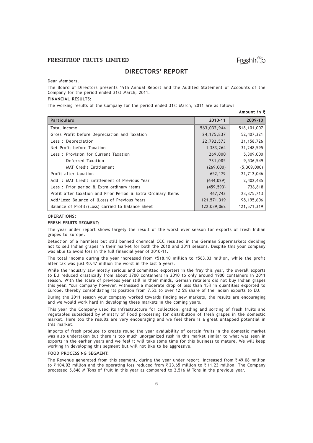Amount in  $\overline{z}$ 

### DIRECTORS' REPORT

Dear Members,

The Board of Directors presents 19th Annual Report and the Audited Statement of Accounts of the Company for the period ended 31st March, 2011.

### FINANCIAL RESULTS:

The working results of the Company for the period ended 31st March, 2011 are as follows

| 2010-11      | 2009-10       |
|--------------|---------------|
| 563,032,944  | 518, 101, 007 |
| 24, 175, 837 | 52,407,321    |
| 22,792,573   | 21, 158, 726  |
| 1,383,264    | 31,248,595    |
| 269,000      | 5,309,000     |
| 731,085      | 9,536,549     |
| (269,000)    | (5,309,000)   |
| 652,179      | 21,712,046    |
| (644, 029)   | 2,402,485     |
| (459, 593)   | 738,818       |
| 467,743      | 23,375,713    |
| 121,571,319  | 98,195,606    |
| 122,039,062  | 121,571,319   |
|              |               |

#### OPERATIONS:

### FRESH FRUITS SEGMENT:

The year under report shows largely the result of the worst ever season for exports of fresh Indian grapes to Europe.

Detection of a harmless but still banned chemical CCC resulted in the German Supermarkets deciding not to sell Indian grapes in their market for both the 2010 and 2011 seasons. Despite this your company was able to avoid loss in the full financial year of 2010-11.

The total income during the year increased from  $\overline{5}518.10$  million to  $\overline{5}563.03$  million, while the profit after tax was just  $\bar{z}0.47$  million the worst in the last 5 years.

While the industry saw mostly serious and committed exporters in the fray this year, the overall exports to EU reduced drastically from about 3700 containers in 2010 to only around 1900 containers in 2011 season. With the scare of previous year still in their minds, German retailers did not buy Indian grapes this year. Your company however, witnessed a moderate drop of less than 15% in quantities exported to Europe, thereby consolidating its position from 7.5% to over 12.5% share of the Indian exports to EU.

During the 2011 season your company worked towards finding new markets, the results are encouraging and we would work hard in developing these markets in the coming years.

This year the Company used its infrastructure for collection, grading and sorting of fresh fruits and vegetables subsidised by Ministry of Food processing for distribution of fresh grapes in the domestic market. Here too the results are very encouraging and we feel there is a great untapped potential in this market.

Imports of fresh produce to create round the year availability of certain fruits in the domestic market was also undertaken but there is too much unorganized rush in this market similar to what was seen in exports in the earlier years and we feel it will take some time for this business to mature. We will keep working in developing this segment but will not like to be aggressive.

#### FOOD PROCESSING SEGMENT:

The Revenue generated from this segment, during the year under report, increased from  $\bar{\zeta}$  49.08 million to  $\bar{\zeta}$  104.02 million and the operating loss reduced from  $\bar{\zeta}$  23.65 million to  $\bar{\zeta}$  11.23 million. The Company processed 5,846 M Tons of fruit in this year as compared to 2,516 M Tons in the previous year.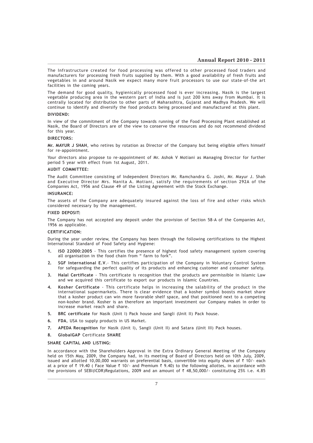The Infrastructure created for food processing was offered to other processed food traders and manufacturers for processing fresh fruits supplied by them. With a good availability of fresh fruits and vegetables in and around Nasik we expect many more fruit processors to use our state-of-the art facilities in the coming years.

The demand for good quality, hygienically processed food is ever increasing. Nasik is the largest vegetable producing area in the western part of India and is just 200 kms away from Mumbai. It is centrally located for distribution to other parts of Maharashtra, Gujarat and Madhya Pradesh. We will continue to identify and diversify the food products being processed and manufactured at this plant.

### DIVIDEND:

In view of the commitment of the Company towards running of the Food Processing Plant established at Nasik, the Board of Directors are of the view to conserve the resources and do not recommend dividend for this year.

### DIRECTORS:

Mr. MAYUR J SHAH, who retires by rotation as Director of the Company but being eligible offers himself for re-appointment.

Your directors also propose to re-appointment of Mr. Ashok V Motiani as Managing Director for further period 5 year with effect from 1st August, 2011.

#### AUDIT COMMITTEE:

The Audit Committee consisting of Independent Directors Mr. Ramchandra G. Joshi, Mr. Mayur J. Shah and Executive Director Mrs. Nanita A. Motiani, satisfy the requirements of section 292A of the Companies Act, 1956 and Clause 49 of the Listing Agreement with the Stock Exchange.

#### INSURANCE:

The assets of the Company are adequately insured against the loss of fire and other risks which considered necessary by the management.

### FIXED DEPOSIT:

The Company has not accepted any deposit under the provision of Section 58-A of the Companies Act, 1956 as applicable.

#### CERTIFICATION:

During the year under review, the Company has been through the following certifications to the Highest International Standard of Food Safety and Hygiene:

- 1. ISO 22000:2005 This certifies the presence of highest food safety management system covering all organisation in the food chain from " farm to fork".
- 2. SGF International E.V.- This certifies participation of the Company in Voluntary Control System for safeguarding the perfect quality of its products and enhancing customer and consumer safety.
- 3. Halal Certificate This certificate is recognition that the products are permissible in Islamic Law and we acquired this certificate to export our products in Islamic Countries.
- 4. Kosher Certificate This certificate helps in increasing the salability of the product in the international supermarkets. There is clear evidence that a kosher symbol boosts market share that a kosher product can win more favorable shelf space, and that positioned next to a competing non-kosher brand. Kosher is an therefore an important investment our Company makes in order to increase market reach and share.
- 5. BRC certificate for Nasik (Unit I) Pack house and Sangli (Unit II) Pack house.
- 6. FDA, USA to supply products in US Market.
- 7. APEDA Recognition for Nasik (Unit I), Sangli (Unit II) and Satara (Unit III) Pack houses.
- 8. GlobalGAP Certificate SHARE

#### SHARE CAPITAL AND LISTING:

In accordance with the Shareholders Approval in the Extra Ordinary General Meeting of the Company held on 15th May, 2009, the Company had, in its meeting of Board of Directors held on 10th July, 2009, issued and allotted 10,00,000 warrants on preferential basis, convertible into equity shares of  $\bar{\tau}$  10/- each at a price of  $\bar{\tau}$  19.40 ( Face Value  $\bar{\tau}$  10/- and Premium  $\bar{\tau}$  9.40) to the following allottes, in accordance with the provisions of SEBI(ICDR)Regulations, 2009 and an amount of  $\bar{\tau}$  48,50,000/- constituting 25% i.e. 4.85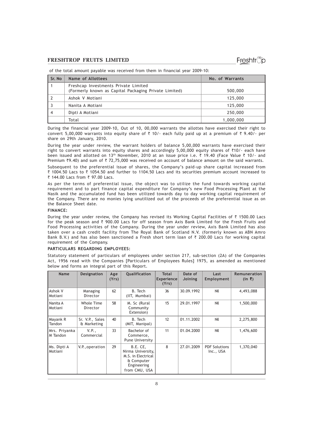of the total amount payable was received from them in financial year 2009-10:

| Sr. No | Name of Allottees                                                                             | No. of Warrants |
|--------|-----------------------------------------------------------------------------------------------|-----------------|
|        | Freshcap Investments Private Limited<br>(Formerly known as Capital Packaging Private Limited) | 500,000         |
|        | Ashok V Motiani                                                                               | 125,000         |
|        | Nanita A Motiani                                                                              | 125,000         |
|        | Dipti A Motiani                                                                               | 250,000         |
|        | Total                                                                                         | 1,000,000       |

During the financial year 2009-10, Out of 10, 00,000 warrants the allottes have exercised their right to convert 5,00,000 warrants into equity share of  $\bar{\tau}$  10/- each fully paid up at a premium of  $\bar{\tau}$  9.40/- per share on 29th January, 2010.

During the year under review, the warrant holders of balance 5,00,000 warrants have exercised their right to convert warrants into equity shares and accordingly 5,00,000 equity shares of  $\bar{\zeta}$ 10/- each have been issued and allotted on 13<sup>th</sup> November, 2010 at an issue price i.e.  $\bar{\tau}$  19.40 (Face Value  $\bar{\tau}$  10/- and Premium  $*9.40$ ) and sum of  $* 72,75,000$  was received on account of balance amount on the said warrants.

Subsequent to the preferential issue of shares, the Company's paid-up share capital increased from  $\bar{\zeta}$  1004.50 Lacs to  $\bar{\zeta}$  1054.50 and further to 1104.50 Lacs and its securities premium account increased to ₹ 144.00 Lacs from ₹ 97.00 Lacs.

As per the terms of preferential issue, the object was to utilize the fund towards working capital requirement and to part finance capital expenditure for Company's new Food Processing Plant at the Nasik and the accumulated fund has been utilized towards day to day working capital requirement of the Company. There are no monies lying unutilized out of the proceeds of the preferential issue as on the Balance Sheet date.

### FINANCE:

During the year under review, the Company has revised its Working Capital Facilities of  $\bar{\tau}$  1500.00 Lacs for the peak season and  $\bar{\tau}$  900.00 Lacs for off season from Axis Bank Limited for the Fresh Fruits and Food Processing activities of the Company. During the year under review, Axis Bank Limited has also taken over a cash credit facility from The Royal Bank of Scotland N.V. (formerly known as ABN Amro Bank B.V.) and has also been sanctioned a Fresh short term loan of  $\bar{\tau}$  200.00 Lacs for working capital requirement of the Company.

### PARTICULARS REGARDING EMPLOYEES:

Statutory statement of particulars of employees under section 217, sub-section (2A) of the Companies Act, 1956 read with the Companies [Particulars of Employees Rules] 1975, as amended as mentioned below and forms an integral part of this Report.

| <b>Name</b>               | <b>Designation</b>             | Age<br>(Yrs) | Qualification                                                                                     | <b>Total</b><br><b>Experience</b><br>(Yrs) | Date of<br>Joining | Last<br>Employment                | Remuneration<br>$(in \; ₹)$ |
|---------------------------|--------------------------------|--------------|---------------------------------------------------------------------------------------------------|--------------------------------------------|--------------------|-----------------------------------|-----------------------------|
| Ashok V<br>Motiani        | Managing<br>Director           | 62           | B. Tech<br>(IIT, Mumbai)                                                                          | 36                                         | 30.09.1992         | Nil                               | 4,493,088                   |
| Nanita A<br>Motiani       | Whole Time<br>Director         | 58           | M. Sc (Rural<br>Community<br>Extension)                                                           | 15                                         | 29.01.1997         | Nil                               | 1,500,000                   |
| Mayank R<br>Tandon        | Sr. V.P., Sales<br>& Marketing | 40           | B. Tech<br>(MIT, Manipal)                                                                         | 12                                         | 01.11.2002         | Nil                               | 2,275,800                   |
| Mrs. Priyanka<br>M Tandon | V.P.,<br>Commercial            | 33           | Bachelor of<br>Commerce,<br>Pune University                                                       | 11                                         | 01.04.2000         | Nil                               | 1,476,600                   |
| Ms. Dipti A<br>Motiani    | V.P., operation                | 29           | B.E. CE,<br>Nirma University,<br>M.S. in Electrical<br>& Computer<br>Engineering<br>from CMU, USA | 8                                          | 27.01.2009         | <b>PDF Solutions</b><br>Inc., USA | 1,370,040                   |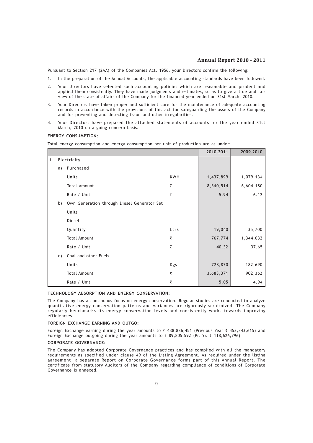Pursuant to Section 217 (2AA) of the Companies Act, 1956, your Directors confirm the following:

- 1. In the preparation of the Annual Accounts, the applicable accounting standards have been followed.
- 2. Your Directors have selected such accounting policies which are reasonable and prudent and applied them consistently. They have made judgments and estimates, so as to give a true and fair view of the state of affairs of the Company for the financial year ended on 31st March, 2010.
- 3. Your Directors have taken proper and sufficient care for the maintenance of adequate accounting records in accordance with the provisions of this act for safeguarding the assets of the Company and for preventing and detecting fraud and other irregularities.
- 4. Your Directors have prepared the attached statements of accounts for the year ended 31st March, 2010 on a going concern basis.

### ENERGY CONSUMPTION:

Total energy consumption and energy consumption per unit of production are as under:

|    |    |                                             |            | 2010-2011 | 2009-2010 |
|----|----|---------------------------------------------|------------|-----------|-----------|
| 1. |    | Electricity                                 |            |           |           |
|    | a) | Purchased                                   |            |           |           |
|    |    | Units                                       | <b>KWH</b> | 1,437,899 | 1,079,134 |
|    |    | Total amount                                | ₹          | 8,540,514 | 6,604,180 |
|    |    | Rate / Unit                                 | ₹          | 5.94      | 6.12      |
|    | b) | Own Generation through Diesel Generator Set |            |           |           |
|    |    | Units                                       |            |           |           |
|    |    | Diesel                                      |            |           |           |
|    |    | Quantity                                    | Ltrs       | 19,040    | 35,700    |
|    |    | <b>Total Amount</b>                         | ₹          | 767,774   | 1,344,032 |
|    |    | Rate / Unit                                 | ₹          | 40.32     | 37.65     |
|    | C) | Coal and other Fuels                        |            |           |           |
|    |    | Units                                       | Kgs        | 728,870   | 182,690   |
|    |    | <b>Total Amount</b>                         | ₹          | 3,683,371 | 902,362   |
|    |    | Rate / Unit                                 | ₹          | 5.05      | 4.94      |

### TECHNOLOGY ABSORPTION AND ENERGY CONSERVATION:

The Company has a continuous focus on energy conservation. Regular studies are conducted to analyze quantitative energy conservation patterns and variances are rigorously scrutinized. The Company regularly benchmarks its energy conservation levels and consistently works towards improving efficiencies.

### FOREIGN EXCHANGE EARNING AND OUTGO:

Foreign Exchange earning during the year amounts to  $\bar{\zeta}$  438,836,451 (Previous Year  $\bar{\zeta}$  453,343,615) and Foreign Exchange outgoing during the year amounts to  $\bar{\tau}$  89,805,592 (Pr. Yr.  $\bar{\tau}$  118,626,796)

#### CORPORATE GOVERNANCE:

The Company has adopted Corporate Governance practices and has complied with all the mandatory requirements as specified under clause 49 of the Listing Agreement. As required under the listing agreement, a separate Report on Corporate Governance forms part of this Annual Report. The certificate from statutory Auditors of the Company regarding compliance of conditions of Corporate Governance is annexed.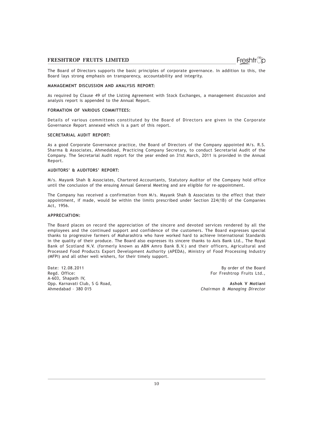Freshtrop

The Board of Directors supports the basic principles of corporate governance. In addition to this, the Board lays strong emphasis on transparency, accountability and integrity.

### MANAGEMENT DISCUSSION AND ANALYSIS REPORT:

As required by Clause 49 of the Listing Agreement with Stock Exchanges, a management discussion and analysis report is appended to the Annual Report.

### FORMATION OF VARIOUS COMMITTEES:

Details of various committees constituted by the Board of Directors are given in the Corporate Governance Report annexed which is a part of this report.

### SECRETARIAL AUDIT REPORT:

As a good Corporate Governance practice, the Board of Directors of the Company appointed M/s. R.S. Sharma & Associates, Ahmedabad, Practicing Company Secretary, to conduct Secretarial Audit of the Company. The Secretarial Audit report for the year ended on 31st March, 2011 is provided in the Annual Report.

### AUDITORS' & AUDITORS' REPORT:

M/s. Mayank Shah & Associates, Chartered Accountants, Statutory Auditor of the Company hold office until the conclusion of the ensuing Annual General Meeting and are eligible for re-appointment.

The Company has received a confirmation from M/s. Mayank Shah & Associates to the effect that their appointment, if made, would be within the limits prescribed under Section 224(1B) of the Companies Act, 1956.

### APPRECIATION:

The Board places on record the appreciation of the sincere and devoted services rendered by all the employees and the continued support and confidence of the customers. The Board expresses special thanks to progressive farmers of Maharashtra who have worked hard to achieve International Standards in the quality of their produce. The Board also expresses its sincere thanks to Axis Bank Ltd., The Royal Bank of Scotland N.V. (formerly known as ABN Amro Bank B.V.) and their officers, Agricultural and Processed Food Products Export Development Authority (APEDA), Ministry of Food Processing Industry (MFPI) and all other well wishers, for their timely support.

Date: 12.08.2011 **Butch Controller of the Board** By order of the Board By order of the Board By order of the Board<br>Regd. Office: A-603, Shapath IV,

For Freshtrop Fruits Ltd.,

Opp. Karnavati Club, S G Road, Ashok V Motiani Chairman & Managing Director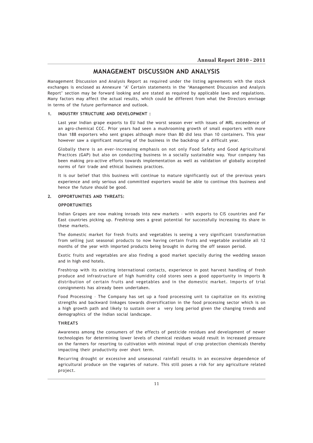### MANAGEMENT DISCUSSION AND ANALYSIS

Management Discussion and Analysis Report as required under the listing agreements with the stock exchanges is enclosed as Annexure 'A' Certain statements in the 'Management Discussion and Analysis Report' section may be forward looking and are stated as required by applicable laws and regulations. Many factors may affect the actual results, which could be different from what the Directors envisage in terms of the future performance and outlook.

### 1. INDUSTRY STRUCTURE AND DEVELOPMENT :

Last year Indian grape exports to EU had the worst season ever with issues of MRL exceedence of an agro-chemical CCC. Prior years had seen a mushrooming growth of small exporters with more than 188 exporters who sent grapes although more than 80 did less than 10 containers. This year however saw a significant maturing of the business in the backdrop of a difficult year.

Globally there is an ever-increasing emphasis on not only Food Safety and Good Agricultural Practices (GAP) but also on conducting business in a socially sustainable way. Your company has been making pro-active efforts towards implementation as well as validation of globally accepted norms of fair trade and ethical business practices.

It is our belief that this business will continue to mature significantly out of the previous years experience and only serious and committed exporters would be able to continue this business and hence the future should be good.

### 2. OPPORTUNITIES AND THREATS:

### **OPPORTUNITIES**

Indian Grapes are now making inroads into new markets – with exports to CIS countries and Far East countries picking up. Freshtrop sees a great potential for successfully increasing its share in these markets.

The domestic market for fresh fruits and vegetables is seeing a very significant transformation from selling just seasonal products to now having certain fruits and vegetable available all 12 months of the year with imported products being brought in during the off season period.

Exotic fruits and vegetables are also finding a good market specially during the wedding season and in high end hotels.

Freshtrop with its existing international contacts, experience in post harvest handling of fresh produce and infrastructure of high humidity cold stores sees a good opportunity in imports & distribution of certain fruits and vegetables and in the domestic market. Imports of trial consignments has already been undertaken.

Food Processing – The Company has set up a food processing unit to capitalize on its existing strengths and backward linkages towards diversification in the food processing sector which is on a high growth path and likely to sustain over a very long period given the changing trends and demographics of the Indian social landscape.

### THREATS

Awareness among the consumers of the effects of pesticide residues and development of newer technologies for determining lower levels of chemical residues would result in increased pressure on the farmers for resorting to cultivation with minimal input of crop protection chemicals thereby impacting their productivity over short term.

Recurring drought or excessive and unseasonal rainfall results in an excessive dependence of agricultural produce on the vagaries of nature. This still poses a risk for any agriculture related project.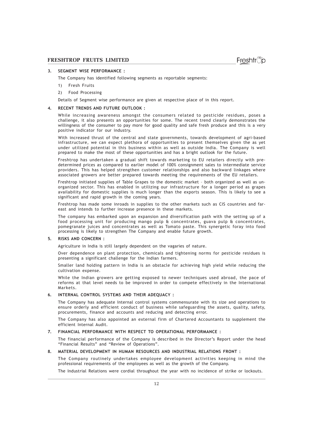### 3. SEGMENT WISE PERFORMANCE :

The Company has identified following segments as reportable segments:

- 1) Fresh Fruits
- 2) Food Processing

Details of Segment wise performance are given at respective place of in this report.

### 4. RECENT TRENDS AND FUTURE OUTLOOK :

While increasing awareness amongst the consumers related to pesticide residues, poses a challenge, it also presents an opportunities for some. The recent trend clearly demonstrates the willingness of the consumer to pay more for good quality and safe fresh produce and this is a very positive indicator for our industry.

With increased thrust of the central and state governments, towards development of agri-based infrastructure, we can expect plethora of opportunities to present themselves given the as yet under utilized potential in this business within as well as outside India. The Company is well prepared to make the most of these opportunities and has a bright outlook for the future.

Freshtrop has undertaken a gradual shift towards marketing to EU retailers directly with predetermined prices as compared to earlier model of 100% consignment sales to intermediate service providers. This has helped strengthen customer relationships and also backward linkages where associated growers are better prepared towards meeting the requirements of the EU retailers.

Freshtrop initiated supplies of Table Grapes to the domestic market – both organized as well as unorganized sector. This has enabled in utilizing our infrastructure for a longer period as grapes availability for domestic supplies is much longer than the exports season. This is likely to see a significant and rapid growth in the coming years.

Freshtrop has made some inroads in supplies to the other markets such as CIS countries and fareast and intends to further increase presence in these markets.

The company has embarked upon an expansion and diversification path with the setting up of a food processing unit for producing mango pulp & concentrates, guava pulp & concentrates, pomegranate juices and concentrates as well as Tomato paste. This synergetic foray into food processing is likely to strengthen The Company and enable future growth.

### 5. RISKS AND CONCERN :

Agriculture in India is still largely dependent on the vagaries of nature.

Over dependence on plant protection, chemicals and tightening norms for pesticide residues is presenting a significant challenge for the Indian farmers.

Smaller land holding pattern in India is an obstacle for achieving high yield while reducing the cultivation expense.

While the Indian growers are getting exposed to newer techniques used abroad, the pace of reforms at that level needs to be improved in order to compete effectively in the International Markets.

### 6. INTERNAL CONTROL SYSTEMS AND THEIR ADEQUACY :

The Company has adequate Internal control systems commensurate with its size and operations to ensure orderly and efficient conduct of business while safeguarding the assets, quality, safety, procurements, finance and accounts and reducing and detecting error.

The Company has also appointed an external firm of Chartered Accountants to supplement the efficient Internal Audit.

### 7. FINANCIAL PERFORMANCE WITH RESPECT TO OPERATIONAL PERFORMANCE :

The financial performance of the Company is described in the Director's Report under the head "Financial Results" and "Review of Operations".

### 8. MATERIAL DEVELOPMENT IN HUMAN RESOURCES AND INDUSTRIAL RELATIONS FRONT :

The Company routinely undertakes employee development activities keeping in mind the professional requirements of the employees as well as the growth of the Company.

The Industrial Relations were cordial throughout the year with no incidence of strike or lockouts.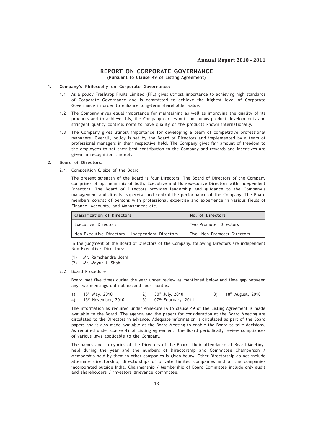### REPORT ON CORPORATE GOVERNANCE (Pursuant to Clause 49 of Listing Agreement)

### 1. Company's Philosophy on Corporate Governance:

- 1.1 As a policy Freshtrop Fruits Limited (FFL) gives utmost importance to achieving high standards of Corporate Governance and is committed to achieve the highest level of Corporate Governance in order to enhance long-term shareholder value.
- 1.2 The Company gives equal importance for maintaining as well as improving the quality of its products and to achieve this, the Company carries out continuous product developments and stringent quality controls norm to have quality of the products known internationally.
- 1.3 The Company gives utmost importance for developing a team of competitive professional managers. Overall, policy is set by the Board of Directors and implemented by a team of professional managers in their respective field. The Company gives fair amount of freedom to the employees to get their best contribution to the Company and rewards and incentives are given in recognition thereof.

### 2. Board of Directors:

2.1. Composition & size of the Board

The present strength of the Board is four Directors, The Board of Directors of the Company comprises of optimum mix of both, Executive and Non-executive Directors with independent Directors. The Board of Directors provides leadership and guidance to the Company's management and directs, supervise and control the performance of the Company. The Board members consist of persons with professional expertise and experience in various fields of Finance, Accounts, and Management etc.

| Classification of Directors                     | No. of Directors            |  |  |
|-------------------------------------------------|-----------------------------|--|--|
| Executive Directors                             | Two Promoter Directors      |  |  |
| Non-Executive Directors - Independent Directors | Two- Non Promoter Directors |  |  |

In the judgment of the Board of Directors of the Company, following Directors are independent Non-Executive Directors:

- (1) Mr. Ramchandra Joshi
- (2) Mr. Mayur J. Shah
- 2.2. Board Procedure

Board met five times during the year under review as mentioned below and time gap between any two meetings did not exceed four months.

| 1) $15^{th}$ May, 2010             | 2) $30th$ July, 2010     | 3) $18^{th}$ August, 2010 |
|------------------------------------|--------------------------|---------------------------|
| 4) 13 <sup>th</sup> November, 2010 | 5) $07th$ February, 2011 |                           |

The information as required under Annexure IA to clause 49 of the Listing Agreement is made available to the Board. The agenda and the papers for consideration at the Board Meeting are circulated to the Directors in advance. Adequate information is circulated as part of the Board papers and is also made available at the Board Meeting to enable the Board to take decisions. As required under clause 49 of Listing Agreement, the Board periodically review compliances of various laws applicable to the Company.

The names and categories of the Directors of the Board, their attendance at Board Meetings held during the year and the numbers of Directorship and Committee Chairperson / Membership held by them in other companies is given below. Other Directorship do not include alternate directorship, directorships of private limited companies and of the companies incorporated outside India. Chairmanship / Membership of Board Committee include only audit and shareholders / investors grievance committee.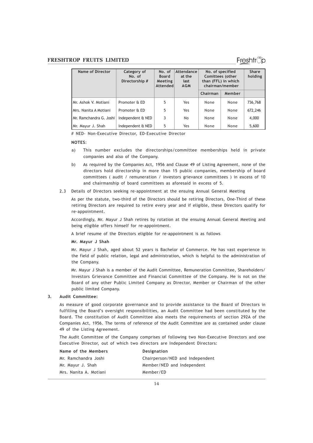| Name of Director         | Category of<br>No. of<br>Directorship # | No. of<br><b>Board</b><br>Meeting<br>Attended | Attendance<br>at the<br>last<br><b>AGM</b> | No. of specified<br>Comittees (other<br>than (FFL) in which<br>chairman/member |        | <b>Share</b><br>holding |
|--------------------------|-----------------------------------------|-----------------------------------------------|--------------------------------------------|--------------------------------------------------------------------------------|--------|-------------------------|
|                          |                                         |                                               |                                            | Chairman                                                                       | Member |                         |
| IMr. Ashok V. Motiani    | Promoter & ED                           | 5                                             | Yes                                        | None                                                                           | None   | 736,768                 |
| IMrs. Nanita A Motiani   | Promoter & ED                           | 5                                             | Yes                                        | None                                                                           | None   | 672,246                 |
| IMr. Ramchandra G. Joshi | Independent & NED                       | 3                                             | No                                         | None                                                                           | None   | 4,000                   |
| Mr. Mayur J. Shah        | Independent & NED                       | 5                                             | Yes                                        | None                                                                           | None   | 5,600                   |

# NED- Non-Executive Director, ED-Executive Director

### NOTES:

- a) This number excludes the directorships/committee memberships held in private companies and also of the Company.
- b) As required by the Companies Act, 1956 and Clause 49 of Listing Agreement, none of the directors hold directorship in more than 15 public companies, membership of board committees ( audit / remuneration / investors grievance committees ) in excess of 10 and chairmanship of board committees as aforesaid in excess of 5.
- 2.3 Details of Directors seeking re-appointment at the ensuing Annual General Meeting

As per the statute, two-third of the Directors should be retiring Directors, One-Third of these retiring Directors are required to retire every year and if eligible, these Directors qualify for re-appointment.

Accordingly, Mr. Mayur J Shah retires by rotation at the ensuing Annual General Meeting and being eligible offers himself for re-appointment.

A brief resume of the Directors eligible for re-appointment is as follows

Mr. Mayur J Shah

Mr. Mayur J Shah, aged about 52 years is Bachelor of Commerce. He has vast experience in the field of public relation, legal and administration, which is helpful to the administration of the Company.

Mr. Mayur J Shah is a member of the Audit Committee, Remuneration Committee, Shareholders/ Investors Grievance Committee and Financial Committee of the Company. He is not on the Board of any other Public Limited Company as Director, Member or Chairman of the other public limited Company.

### 3. Audit Committee:

As measure of good corporate governance and to provide assistance to the Board of Directors in fulfilling the Board's oversight responsibilities, an Audit Committee had been constituted by the Board. The constitution of Audit Committee also meets the requirements of section 292A of the Companies Act, 1956. The terms of reference of the Audit Committee are as contained under clause 49 of the Listing Agreement.

The Audit Committee of the Company comprises of following two Non-Executive Directors and one Executive Director, out of which two directors are Independent Directors:

| Name of the Members    | Designation                     |
|------------------------|---------------------------------|
| Mr. Ramchandra Joshi   | Chairperson/NED and Independent |
| Mr. Mayur J. Shah      | Member/NED and Independent      |
| Mrs. Nanita A. Motiani | Member/ED                       |

### Freshtr്o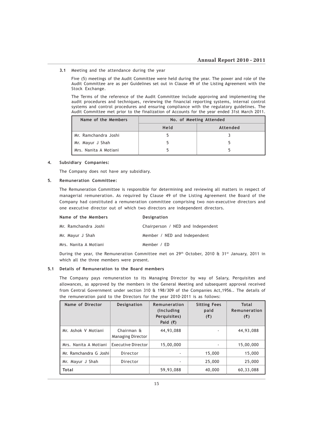### 3.1 Meeting and the attendance during the year

Five (5) meetings of the Audit Committee were held during the year. The power and role of the Audit Committee are as per Guidelines set out in Clause 49 of the Listing Agreement with the Stock Exchange.

The Terms of the reference of the Audit Committee include approving and implementing the audit procedures and techniques, reviewing the financial reporting systems, internal control systems and control procedures and ensuring compliance with the regulatory guidelines. The Audit Committee met prior to the finalization of Accounts for the year ended 31st March 2011.

| Name of the Members   | No. of Meeting Attended |          |  |
|-----------------------|-------------------------|----------|--|
|                       | Held                    | Attended |  |
| Mr. Ramchandra Joshi  |                         |          |  |
| Mr. Mayur J Shah      |                         |          |  |
| Mrs. Nanita A Motiani |                         |          |  |

### 4. Subsidiary Companies:

The Company does not have any subsidiary.

### 5. Remuneration Committee:

The Remuneration Committee is responsible for determining and reviewing all matters in respect of managerial remuneration. As required by Clause 49 of the Listing Agreement the Board of the Company had constituted a remuneration committee comprising two non-executive directors and one executive director out of which two directors are independent directors.

| Name of the Members   | <b>Designation</b>                |  |  |
|-----------------------|-----------------------------------|--|--|
| Mr. Ramchandra Joshi  | Chairperson / NED and Independent |  |  |
| Mr. Mayur J Shah      | Member / NED and Independent      |  |  |
| Mrs. Nanita A Motiani | Member / ED                       |  |  |
|                       |                                   |  |  |

During the year, the Remuneration Committee met on 29th October, 2010 & 31st January, 2011 in which all the three members were present.

### 5.1 Details of Remuneration to the Board members

The Company pays remuneration to its Managing Director by way of Salary, Perquisites and allowances, as approved by the members in the General Meeting and subsequent approval received from Central Government under section 310 & 198/309 of the Companies Act,1956.. The details of the remuneration paid to the Directors for the year 2010-2011 is as follows:

| Name of Director       | <b>Designation</b>                     | Remuneration<br>(Including)<br>Perquisites)<br>Paid $(\overline{\zeta})$ | <b>Sitting Fees</b><br>paid<br>(3) | <b>Total</b><br>Remuneration<br>(3) |
|------------------------|----------------------------------------|--------------------------------------------------------------------------|------------------------------------|-------------------------------------|
| Mr. Ashok V Motiani    | Chairman &<br><b>Managing Director</b> | 44,93,088                                                                |                                    | 44,93,088                           |
| Mrs. Nanita A Motiani  | <b>Executive Director</b>              | 15,00,000                                                                |                                    | 15,00,000                           |
| Mr. Ramchandra G Joshi | Director                               |                                                                          | 15,000                             | 15,000                              |
| Mr. Mayur J Shah       | Director                               |                                                                          | 25,000                             | 25,000                              |
| <b>Total</b>           |                                        | 59,93,088                                                                | 40,000                             | 60,33,088                           |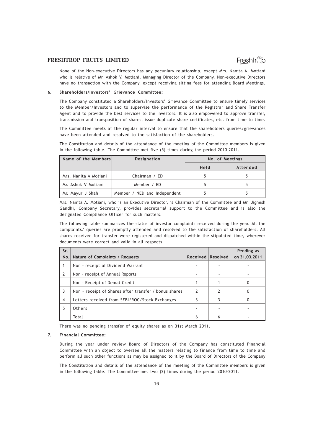None of the Non-executive Directors has any pecuniary relationship, except Mrs. Nanita A. Motiani who is relative of Mr. Ashok V. Motiani, Managing Director of the Company. Non-executive Directors have no transaction with the Company, except receiving sitting fees for attending Board Meetings.

### 6. Shareholders/Investors' Grievance Committee:

The Company constituted a Shareholders/Investors' Grievance Committee to ensure timely services to the Member/Investors and to supervise the performance of the Registrar and Share Transfer Agent and to provide the best services to the Investors. It is also empowered to approve transfer, transmission and transposition of shares, issue duplicate share certificates, etc. from time to time.

The Committee meets at the regular interval to ensure that the shareholders queries/grievances have been attended and resolved to the satisfaction of the shareholders.

The Constitution and details of the attendance of the meeting of the Committee members is given in the following table. The Committee met five (5) times during the period 2010-2011.

| Name of the Members   | <b>Designation</b>           | No. of Meetings |          |
|-----------------------|------------------------------|-----------------|----------|
|                       |                              | Held            | Attended |
| Mrs. Nanita A Motiani | Chairman / ED                |                 |          |
| Mr. Ashok V Motiani   | Member / ED                  |                 |          |
| Mr. Mayur J Shah      | Member / NED and Independent |                 |          |

Mrs. Nanita A. Motiani, who is an Executive Director, is Chairman of the Committee and Mr. Jignesh Gandhi, Company Secretary, provides secretarial support to the Committee and is also the designated Compliance Officer for such matters.

The following table summarizes the status of investor complaints received during the year. All the complaints/ queries are promptly attended and resolved to the satisfaction of shareholders. All shares received for transfer were registered and dispatched within the stipulated time, wherever documents were correct and valid in all respects.

| Sr.            |                                                       |                   |   | Pending as    |
|----------------|-------------------------------------------------------|-------------------|---|---------------|
| No.            | Nature of Complaints / Requests                       | Received Resolved |   | on 31.03.2011 |
|                | Non - receipt of Dividend Warrant                     |                   |   |               |
| $\overline{2}$ | Non - receipt of Annual Reports                       |                   |   |               |
|                | Non - Receipt of Demat Credit                         |                   |   | 0             |
| 3              | Non - receipt of Shares after transfer / bonus shares | 2                 | 2 | 0             |
| $\overline{4}$ | Letters received from SEBI/ROC/Stock Exchanges        |                   |   | 0             |
| 5              | Others                                                |                   |   |               |
|                | Total                                                 |                   | h |               |

There was no pending transfer of equity shares as on 31st March 2011.

#### 7. Financial Committee:

During the year under review Board of Directors of the Company has constituted Financial Committee with an object to oversee all the matters relating to finance from time to time and perform all such other functions as may be assigned to it by the Board of Directors of the Company

The Constitution and details of the attendance of the meeting of the Committee members is given in the following table. The Committee met two (2) times during the period 2010-2011.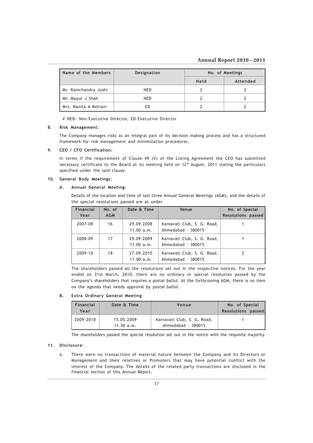### Annual Report 2010 - 2011

| Name of the Members   | <b>Designation</b> | No. of Meetings |          |
|-----------------------|--------------------|-----------------|----------|
|                       |                    | Held            | Attended |
| Mr. Ramchandra Joshi  | NED                |                 |          |
| Mr. Mayur J Shah      | NED                |                 |          |
| Mrs. Nanita A Motiani | ЕD                 |                 |          |

# NED- Non-Executive Director, ED-Executive Director

### 8. Risk Management:

The Company manages risks as an integral part of its decision making process and has a structured framework for risk management and minimization procedures.

### 9. CEO / CFO Certification:

In terms if the requirement of Clause 49 (V) of the Listing Agreement the CEO has submitted necessary certificate to the Board at its meeting held on 12<sup>th</sup> August, 2011 stating the particulars specified under the said clause.

### 10. General Body Meetings:

### A. Annual General Meeting:

Details of the location and time of last three Annual General Meetings (AGM), and the details of the special resolutions passed are as under.

| <b>Financial</b> | No. of     | Date & Time              | Venue                                             | No. of Special            |
|------------------|------------|--------------------------|---------------------------------------------------|---------------------------|
| Year             | <b>AGM</b> |                          |                                                   | <b>Resolutions passed</b> |
| 2007-08          | 16         | 29.09.2008<br>11.00 a.m. | Karnavati Club, S. G. Road,<br>Ahmedabad - 380015 |                           |
| 2008-09          | 17         | 29.09.2009<br>11.00 a.m. | Karnavati Club, S. G. Road,<br>Ahmedabad - 380015 |                           |
| 2009-10          | 18         | 27.09.2010<br>11.00 a.m. | Karnavati Club, S. G. Road,<br>Ahmedabad - 380015 |                           |

The shareholders passed all the resolutions set out in the respective notices. For the year ended on 31st March, 2010, there are no ordinary or special resolution passed by the Company's shareholders that requires a postal ballot. At the forthcoming AGM, there is no item on the agenda that needs approval by postal ballot.

### B. Extra Ordinary General Meeting

| Financial | Date & Time              | Venue                                             | No. of Special     |
|-----------|--------------------------|---------------------------------------------------|--------------------|
| Year      |                          |                                                   | Resolutions passed |
| 2009-2010 | 15.05.2009<br>11.30 a.m. | Karnavati Club, S. G. Road,<br>Ahmedabad - 380015 |                    |

The shareholders passed the special resolution set out in the notice with the requisite majority.

### 11. Disclosure:

a. There were no transactions of material nature between the Company and its Directors or Management and their relatives or Promoters that may have potential conflict with the interest of the Company. The details of the related party transactions are disclosed in the financial section of this Annual Report.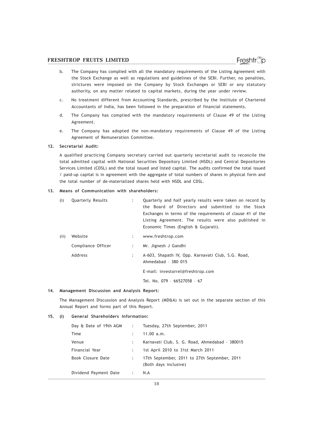- b. The Company has complied with all the mandatory requirements of the Listing Agreement with the Stock Exchange as well as regulations and guidelines of the SEBI. Further, no penalties, strictures were imposed on the Company by Stock Exchanges or SEBI or any statutory authority, on any matter related to capital markets, during the year under review.
- c. No treatment different from Accounting Standards, prescribed by the Institute of Chartered Accountants of India, has been followed in the preparation of financial statements.
- d. The Company has complied with the mandatory requirements of Clause 49 of the Listing Agreement.
- e. The Company has adopted the non-mandatory requirements of Clause 49 of the Listing Agreement of Remuneration Committee.

### 12. Secretarial Audit:

A qualified practicing Company secretary carried out quarterly secretarial audit to reconcile the total admitted capital with National Securities Depository Limited (NSDL) and Central Depositories Services Limited (CDSL) and the total issued and listed capital. The audits confirmed the total issued / paid-up capital is in agreement with the aggregate of total numbers of shares in physical form and the total number of de-materialized shares held with NSDL and CDSL.

### 13. Means of Communication with shareholders:

| (i)  | <b>Quarterly Results</b> |                           | Quarterly and half yearly results were taken on record by<br>the Board of Directors and submitted to the Stock<br>Exchanges in terms of the requirements of clause 41 of the<br>Listing Agreement. The results were also published in<br>Economic Times (English & Gujarati). |
|------|--------------------------|---------------------------|-------------------------------------------------------------------------------------------------------------------------------------------------------------------------------------------------------------------------------------------------------------------------------|
| (ii) | Website                  | $\mathbb{Z}^{\mathbb{Z}}$ | www.freshtrop.com                                                                                                                                                                                                                                                             |
|      | Compliance Officer       | $\mathbb{Z}$              | Mr. Jignesh J Gandhi                                                                                                                                                                                                                                                          |
|      | Address                  | $\ddot{\phantom{a}}$      | A-603, Shapath IV, Opp. Karnavati Club, S.G. Road,<br>Ahmedabad - 380 015                                                                                                                                                                                                     |
|      |                          |                           | E-mail: investorrel@freshtrop.com                                                                                                                                                                                                                                             |
|      |                          |                           | Tel. No. 079 - 66527058 - 67                                                                                                                                                                                                                                                  |

#### 14. Management Discussion and Analysis Report:

The Management Discussion and Analysis Report (MD&A) is set out in the separate section of this Annual Report and forms part of this Report.

#### 15. (i) General Shareholders Information:

| Day & Date of 19th AGM :                             | Tuesday, 27th September, 2011                                         |
|------------------------------------------------------|-----------------------------------------------------------------------|
| Time                                                 | 11.00 a.m.                                                            |
| Venue                                                | Karnavati Club, S. G. Road, Ahmedabad - 380015                        |
| Financial Year                                       | 1st April 2010 to 31st March 2011                                     |
| Book Closure Date                                    | 17th September, 2011 to 27th September, 2011<br>(Both days inclusive) |
| Dividend Payment Date<br>$\sim$ $\sim$ $\sim$ $\sim$ | N.A                                                                   |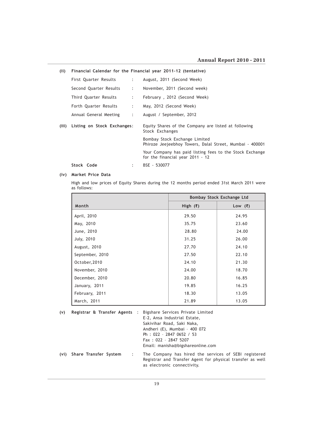| (ii)  | Financial Calendar for the Financial year 2011-12 (tentative) |                           |                                                                                              |
|-------|---------------------------------------------------------------|---------------------------|----------------------------------------------------------------------------------------------|
|       | First Quarter Results                                         | $2 - 1$                   | August, 2011 (Second Week)                                                                   |
|       | Second Quarter Results                                        | $\mathbb{Z}^{\mathbb{Z}}$ | November, 2011 (Second week)                                                                 |
|       | Third Quarter Results                                         | $\mathbb{Z}^{\mathbb{Z}}$ | February, 2012 (Second Week)                                                                 |
|       | Forth Quarter Results                                         | $\mathbb{Z}^{\mathbb{Z}}$ | May, 2012 (Second Week)                                                                      |
|       | Annual General Meeting                                        | $\mathbb{Z}^{\mathbb{Z}}$ | August / September, 2012                                                                     |
| (iii) | Listing on Stock Exchanges:                                   |                           | Equity Shares of the Company are listed at following<br>Stock Exchanges                      |
|       |                                                               |                           | Bombay Stock Exchange Limited<br>Phiroze Jeejeebhoy Towers, Dalal Street, Mumbai - 400001    |
|       |                                                               |                           | Your Company has paid listing fees to the Stock Exchange<br>for the financial year 2011 - 12 |
|       | Stock Code                                                    | $\ddot{\phantom{a}}$      | BSE - 530077                                                                                 |

### (iv) Market Price Data

High and low prices of Equity Shares during the 12 months period ended 31st March 2011 were as follows:

|                 | Bombay Stock Exchange Ltd |           |
|-----------------|---------------------------|-----------|
| Month           | High $(\bar{x})$          | Low $(₹)$ |
| April, 2010     | 29.50                     | 24.95     |
| May, 2010       | 35.75                     | 23.60     |
| June, 2010      | 28.80                     | 24.00     |
| July, 2010      | 31.25                     | 26.00     |
| August, 2010    | 27.70                     | 24.10     |
| September, 2010 | 27.50                     | 22.10     |
| October, 2010   | 24.10                     | 21.30     |
| November, 2010  | 24.00                     | 18.70     |
| December, 2010  | 20.80                     | 16.85     |
| January, 2011   | 19.85                     | 16.25     |
| February, 2011  | 18.30                     | 13.05     |
| March, 2011     | 21.89                     | 13.05     |

| (v) |                            |                | Registrar & Transfer Agents : Bigshare Services Private Limited<br>E-2, Ansa Industrial Estate,<br>Sakivihar Road, Saki Naka,<br>Andheri (E), Mumbai - 400 072<br>Ph: 022 - 2847 0652 / 53<br>Fax: 022 - 2847 5207<br>Email: manisha@bigshareonline.com |
|-----|----------------------------|----------------|---------------------------------------------------------------------------------------------------------------------------------------------------------------------------------------------------------------------------------------------------------|
|     | (vi) Share Transfer System | $\mathbb{R}^n$ | The Company has hired the services of SEBI registered<br>Registrar and Transfer Agent for physical transfer as well<br>as electronic connectivity.                                                                                                      |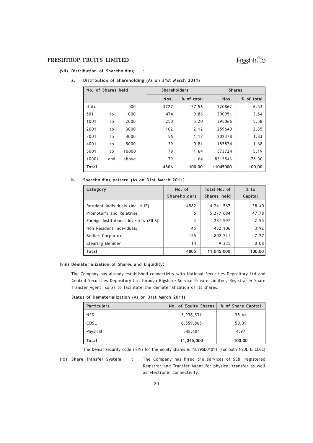### (vii) Distribution of Shareholding :

| No. of Shares held |     | <b>Shareholders</b> |      | <b>Shares</b> |          |            |
|--------------------|-----|---------------------|------|---------------|----------|------------|
|                    |     |                     | Nos. | % of total    | Nos.     | % of total |
| Upto               |     | 500                 | 3727 | 77.56         | 720862   | 6.53       |
| 501                | to  | 1000                | 474  | 9.86          | 390951   | 3.54       |
| 1001               | to  | 2000                | 250  | 5.20          | 395066   | 5.58       |
| 2001               | to  | 3000                | 102  | 2.12          | 259649   | 2.35       |
| 3001               | to  | 4000                | 56   | 1.17          | 202378   | 1.83       |
| 4001               | to  | 5000                | 39   | 0.81          | 185824   | 1.68       |
| 5001               | to  | 10000               | 79   | 1.64          | 573724   | 5.19       |
| 10001              | and | above               | 79   | 1.64          | 8313546  | 75.30      |
| <b>Total</b>       |     |                     | 4806 | 100.00        | 11045000 | 100.00     |

### a. Distribution of Shareholding (As on 31st March 2011)

### b. Shareholding pattern (As on 31st March 2011)

| Category                                | No. of<br><b>Shareholders</b> | Total No. of<br>Shares held | % to<br>Capital |
|-----------------------------------------|-------------------------------|-----------------------------|-----------------|
| Resident Individuals (incl.HUF)         | 4582                          | 4,241,567                   | 38.40           |
| Promoter's and Relatives                | 6                             | 5,277,684                   | 47.78           |
| Foreign Institutional Investors (FII'S) | 3                             | 281,597                     | 2.55            |
| Non Resident Individuals                | 45                            | 432,106                     | 3.92            |
| <b>Bodies Corporate</b>                 | 155                           | 802,711                     | 7.27            |
| <b>Clearing Member</b>                  | 14                            | 9,335                       | 0.08            |
| Total                                   | 4805                          | 11,045,000                  | 100.00          |

### (viii) Dematerialization of Shares and Liquidity:

The Company has already established connectivity with National Securities Depository Ltd and Central Securities Depository Ltd through Bigshare Service Private Limited, Registrar & Share Transfer Agent, so as to facilitate the dematerialization of its shares.

### Status of Dematerialization (As on 31st March 2011)

| <b>Particulars</b> | No. of Equity Shares | % of Share Capital |
|--------------------|----------------------|--------------------|
| <b>NSDL</b>        | 3,936,531            | 35.64              |
| CDSL               | 6,559,865            | 59.39              |
| Physical           | 548,604              | 4.97               |
| Total              | 11,045,000           | 100.00             |

The Demat security code (ISIN) for the equity shares is INE795D01011 (For both NSDL & CDSL)

(ix) Share Transfer System : The Company has hired the services of SEBI registered Registrar and Transfer Agent for physical transfer as well as electronic connectivity.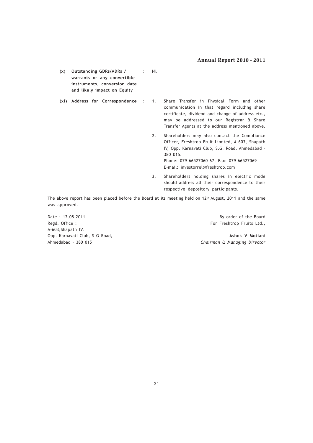| (x) | Outstanding GDRs/ADRs / :<br>warrants or any convertible<br>instruments, conversion date<br>and likely impact on Equity | Nil |                                                                                                                                                                                                                                                   |
|-----|-------------------------------------------------------------------------------------------------------------------------|-----|---------------------------------------------------------------------------------------------------------------------------------------------------------------------------------------------------------------------------------------------------|
|     | (xi) Address for Correspondence : 1.                                                                                    |     | Share Transfer in Physical Form and other<br>communication in that regard including share<br>certificate, dividend and change of address etc.,<br>may be addressed to our Registrar & Share<br>Transfer Agents at the address mentioned above.    |
|     |                                                                                                                         | 2.  | Shareholders may also contact the Compliance<br>Officer, Freshtrop Fruit Limited, A-603, Shapath<br>IV, Opp. Karnavati Club, S.G. Road, Ahmedabad -<br>380 015.<br>Phone: 079-66527060-67, Fax: 079-66527069<br>E-mail: investorrel@freshtrop.com |
|     |                                                                                                                         | 3.  | Shareholders holding shares in electric mode<br>should address all their correspondence to their<br>respective depository participants.                                                                                                           |

The above report has been placed before the Board at its meeting held on 12<sup>th</sup> August, 2011 and the same was approved.

Date : 12.08.2011 By order of the Board Regd. Office : For Freshtrop Fruits Ltd., A-603,Shapath IV,

Opp. Karnavati Club, S G Road, Ashok V Motiani Ahmedabad – 380 015 Chairman & Managing Director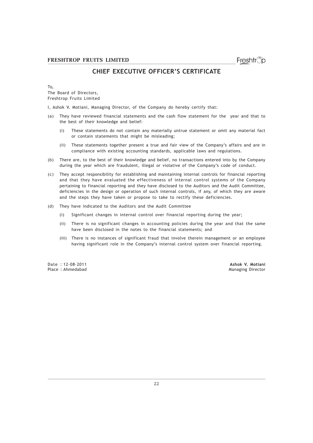### CHIEF EXECUTIVE OFFICER'S CERTIFICATE

To,

The Board of Directors, Freshtrop Fruits Limited

I, Ashok V. Motiani, Managing Director, of the Company do hereby certify that:

- (a) They have reviewed financial statements and the cash flow statement for the year and that to the best of their knowledge and belief:
	- (i) These statements do not contain any materially untrue statement or omit any material fact or contain statements that might be misleading;
	- (ii) These statements together present a true and fair view of the Company's affairs and are in compliance with existing accounting standards, applicable laws and regulations.
- (b) There are, to the best of their knowledge and belief, no transactions entered into by the Company during the year which are fraudulent, illegal or violative of the Company's code of conduct.
- (c) They accept responsibility for establishing and maintaining internal controls for financial reporting and that they have evaluated the effectiveness of internal control systems of the Company pertaining to financial reporting and they have disclosed to the Auditors and the Audit Committee, deficiencies in the design or operation of such internal controls, if any, of which they are aware and the steps they have taken or propose to take to rectify these deficiencies.
- (d) They have indicated to the Auditors and the Audit Committee
	- (i) Significant changes in internal control over financial reporting during the year;
	- (ii) There is no significant changes in accounting policies during the year and that the same have been disclosed in the notes to the financial statements; and
	- (iii) There is no instances of significant fraud that involve therein management or an employee having significant role in the Company's internal control system over financial reporting.

Date : 12-08-2011 Ashok V. Motiani

Managing Director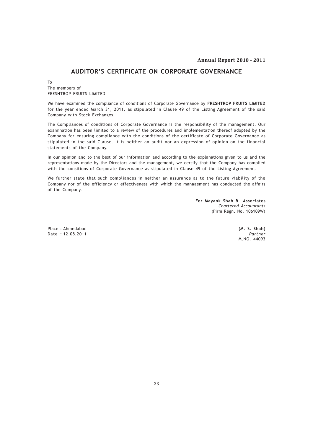### AUDITOR'S CERTIFICATE ON CORPORATE GOVERNANCE

To The members of FRESHTROP FRUITS LIMITED

We have examined the compliance of conditions of Corporate Governance by FRESHTROP FRUITS LIMITED for the year ended March 31, 2011, as stipulated in Clause 49 of the Listing Agreement of the said Company with Stock Exchanges.

The Compliances of conditions of Corporate Governance is the responsibility of the management. Our examination has been limited to a review of the procedures and implementation thereof adopted by the Company for ensuring compliance with the conditions of the certificate of Corporate Governance as stipulated in the said Clause. It is neither an audit nor an expression of opinion on the financial statements of the Company.

In our opinion and to the best of our information and according to the explanations given to us and the representations made by the Directors and the management, we certify that the Company has complied with the consitions of Corporate Governance as stipulated in Clause 49 of the Listing Agreement.

We further state that such compliances in neither an assurance as to the future viability of the Company nor of the efficiency or effectiveness with which the management has conducted the affairs of the Company.

> For Mayank Shah & Associates Chartered Accountants (Firm Regn. No. 106109W)

Place : Ahmedabad (M. S. Shah) Date : 12.08.2011 Partner

M.NO. 44093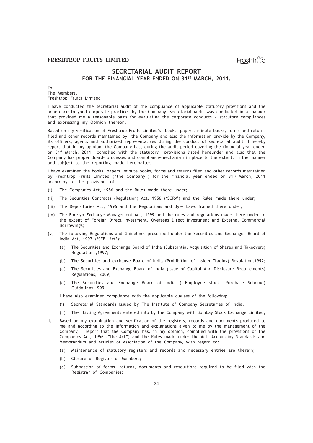### SECRETARIAL AUDIT REPORT FOR THE FINANCIAL YEAR ENDED ON 31ST MARCH, 2011.

#### To, The Members, Freshtrop Fruits Limited

I have conducted the secretarial audit of the compliance of applicable statutory provisions and the adherence to good corporate practices by the Company. Secretarial Audit was conducted in a manner that provided me a reasonable basis for evaluating the corporate conducts / statutory compliances and expressing my Opinion thereon.

Based on my verification of Freshtrop Fruits Limited's books, papers, minute books, forms and returns filed and other records maintained by the Company and also the information provide by the Company, its officers, agents and authorized representatives during the conduct of secretarial audit, I hereby report that in my opinion, the Company has, during the audit period covering the financial year ended on 31st March, 2011 complied with the statutory provisions listed hereunder and also that the Company has proper Board- processes and compliance-mechanism in place to the extent, in the manner and subject to the reporting made hereinafter.

I have examined the books, papers, minute books, forms and returns filed and other records maintained by Freshtrop Fruits Limited ("the Company") for the financial year ended on 31<sup>st</sup> March, 2011 according to the provisions of:

- (i) The Companies Act, 1956 and the Rules made there under;
- (ii) The Securities Contracts (Regulation) Act, 1956 ('SCRA') and the Rules made there under;
- (iii) The Depositories Act, 1996 and the Regulations and Bye- Laws framed there under;
- (iv) The Foreign Exchange Management Act, 1999 and the rules and regulations made there under to the extent of Foreign Direct Investment, Overseas Direct Investment and External Commercial Borrowings;
- (v) The following Regulations and Guidelines prescribed under the Securities and Exchange Board of India Act, 1992 ('SEBI Act');
	- (a) The Securities and Exchange Board of India (Substantial Acquisition of Shares and Takeovers) Regulations,1997;
	- (b) The Securities and exchange Board of India (Prohibition of Insider Trading) Regulations1992;
	- (c) The Securities and Exchange Board of India (Issue of Capital And Disclosure Requirements) Regulations, 2009;
	- (d) The Securities and Exchange Board of India ( Employee stock- Purchase Scheme) Guidelines,1999;

I have also examined compliance with the applicable clauses of the following:

- (i) Secretarial Standards issued by The Institute of Company Secretaries of India.
- (ii) The Listing Agreements entered into by the Company with Bombay Stock Exchange Limited;
- 1. Based on my examination and verification of the registers, records and documents produced to me and according to the information and explanations given to me by the management of the Company, I report that the Company has, in my opinion, complied with the provisions of the Companies Act, 1956 ("the Act") and the Rules made under the Act, Accounting Standards and Memorandum and Articles of Association of the Company, with regard to:
	- (a) Maintenance of statutory registers and records and necessary entries are therein;
	- (b) Closure of Register of Members;
	- (c) Submission of forms, returns, documents and resolutions required to be filed with the Registrar of Companies;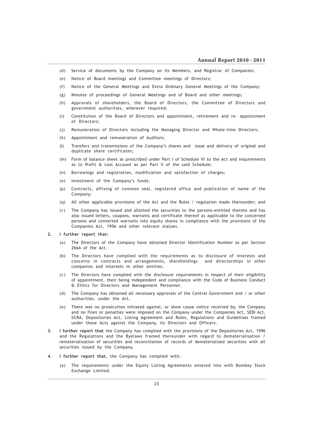- (d) Service of documents by the Company on its Members, and Registrar of Companies;
- (e) Notice of Board meetings and Committee meetings of Directors;
- (f) Notice of the General Meetings and Extra Ordinary General Meetings of the Company;
- (g) Minutes of proceedings of General Meetings and of Board and other meetings;
- (h) Approvals of shareholders, the Board of Directors, the Committee of Directors and government authorities, wherever required;
- (i) Constitution of the Board of Directors and appointment, retirement and re- appointment of Directors;
- (j) Remuneration of Directors including the Managing Director and Whole-time Directors;
- (k) Appointment and remuneration of Auditors;
- (l) Transfers and transmissions of the Company's shares and issue and delivery of original and duplicate share certificates;
- (m) Form of balance sheet as prescribed under Part I of Schedule VI to the Act and requirements as to Profit & Loss Account as per Part II of the said Schedule;
- (n) Borrowings and registration, modification and satisfaction of charges;
- (o) Investment of the Company's funds;
- (p) Contracts, affixing of common seal, registered office and publication of name of the Company;
- (q) All other applicable provisions of the Act and the Rules / regulation made thereunder; and
- (r) The Company has issued and allotted the securities to the persons-entitled thereto and has also issued letters, coupons, warrants and certificate thereof as applicable to the concerned persons and converted warrants into equity shares in compliance with the provisions of the Companies Act, 1956 and other relevant statues.
- 2. I further report that:
	- (a) The Directors of the Company have obtained Director Identification Number as per Section 266A of the Act.
	- (b) The Directors have complied with the requirements as to disclosure of interests and concerns in contracts and arrangements, shareholdings and directorships in other companies and interests in other entities.
	- (c) The Directors have complied with the disclosure requirements in respect of their eligibility of appointment, their being independent and compliance with the Code of Business Conduct & Ethics for Directors and Management Personnel.
	- (d) The Company has obtained all necessary approvals of the Central Government and / or other authorities, under the Act.
	- (e) There was no prosecution initiated against, or show cause notice received by, the Company and no fines or penalties were imposed on the Company under the Companies Act, SEBI Act, SCRA, Depositories Act, Listing Agreement and Rules, Regulations and Guidelines framed under these Acts against the Company, its Directors and Officers.
- 3. I further report that the Company has complied with the provisions of the Depositories Act, 1996 and the Regulations and the Byelaws framed thereunder with regard to dematerialisation / rematerialisation of securities and reconciliation of records of dematerialised securities with all securities issued by the Company.
- 4. I further report that, the Company has complied with:
	- (a) The requirements under the Equity Listing Agreements entered into with Bombay Stock Exchange Limited.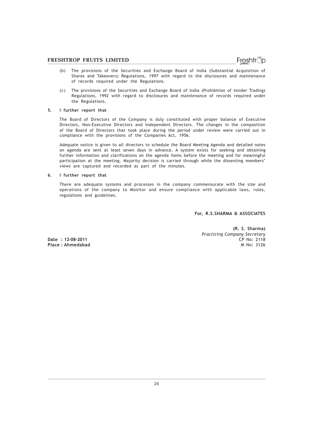- (b) The provisions of the Securities and Exchange Board of India (Substantial Acquisition of Shares and Takeovers) Regulations, 1997 with regard to the disclosures and maintenance of records required under the Regulations.
- (c) The provisions of the Securities and Exchange Board of India (Prohibition of Insider Trading) Regulations, 1992 with regard to disclosures and maintenance of records required under the Regulations.

### 5. I further report that

The Board of Directors of the Company is duly constituted with proper balance of Executive Directors, Non-Executive Directors and Independent Directors. The changes in the composition of the Board of Directors that took place during the period under review were carried out in compliance with the provisions of the Companies Act, 1956.

Adequate notice is given to all directors to schedule the Board Meeting Agenda and detailed notes on agenda are sent at least seven days in advance, A system exists for seeking and obtaining further information and clarifications on the agenda items before the meeting and for meaningful participation at the meeting. Majority decision is carried through while the dissenting members' views are captured and recorded as part of the minutes.

### 6. I further report that

There are adequate systems and processes in the company commensurate with the size and operations of the company to Monitor and ensure compliance with applicable laws, rules, regulations and guidelines.

For, R.S.SHARMA & ASSOCIATES

Date : 12-08-2011

(R. S. Sharma) Practicing Company Secretary Place : Ahmedabad M No. 3126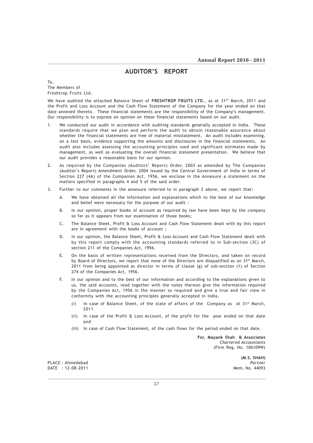### AUDITOR'S REPORT

To, The Members of Freshtrop Fruits Ltd.

We have audited the attached Balance Sheet of FRESHTROP FRUITS LTD., as at 31<sup>ST</sup> March, 2011 and the Profit and Loss Account and the Cash Flow Statement of the Company for the year ended on that date annexed thereto. These financial statements are the responsibility of the Company's management. Our responsibility is to express an opinion on these financial statements based on our audit.

- 1. We conducted our audit in accordance with auditing standards generally accepted in India. These standards require that we plan and perform the audit to obtain reasonable assurance about whether the financial statements are free of material misstatement. An audit includes examining, on a test basis, evidence supporting the amounts and disclosures in the financial statements. An audit also includes assessing the accounting principles used and significant estimates made by management, as well as evaluating the overall financial statement presentation. We believe that our audit provides a reasonable basis for our opinion.
- 2. As required by the Companies (Auditors' Report) Order, 2003 as amended by The Companies (Auditor's Report) Amendment Order, 2004 issued by the Central Government of India in terms of Section 227 (4A) of the Companies Act, 1956, we enclose in the Annexure a statement on the matters specified in paragraphs 4 and 5 of the said order.
- 3. Further to our comments in the annexure referred to in paragraph 2 above, we report that:
	- A. We have obtained all the information and explanations which to the best of our knowledge and belief were necessary for the purpose of our audit :
	- B. In our opinion, proper books of account as required by law have been kept by the company so far as it appears from our examination of those books;
	- C. The Balance Sheet, Profit & Loss Account and Cash Flow Statement dealt with by this report are in agreement with the books of account ;
	- D. In our opinion, the Balance Sheet, Profit & Loss Account and Cash Flow Statement dealt with by this report comply with the accounting standards referred to in Sub-section (3C) of section 211 of the Companies Act, 1956.
	- E. On the basis of written representations received from the Directors, and taken on record by Board of Directors, we report that none of the Directors are disqualified as on  $31^{st}$  March, 2011 from being appointed as director in terms of clause (g) of sub-section (1) of Section 274 of the Companies Act, 1956.
	- F. In our opinion and to the best of our information and according to the explanations given to us, the said accounts, read together with the notes thereon give the information required by the Companies Act, 1956 in the manner so required and give a true and fair view in conformity with the accounting principles generally accepted in India.
		- (i) In case of Balance Sheet, of the state of affairs of the Company as  $at 31st March$ , 2011
		- (ii) In case of the Profit & Loss Account, of the profit for the year ended on that date and
		- (iii) In case of Cash Flow Statement, of the cash flows for the period ended on that date.

 For, Mayank Shah & Associates Chartered Accountants (Firm Reg. No. 106109W)

PLACE : Ahmedabad Partner Partner Partner Partner Partner Partner Partner Partner Partner Partner Partner Partner DATE : 12-08-2011 Mem. No. 44093

(M.S. SHAH)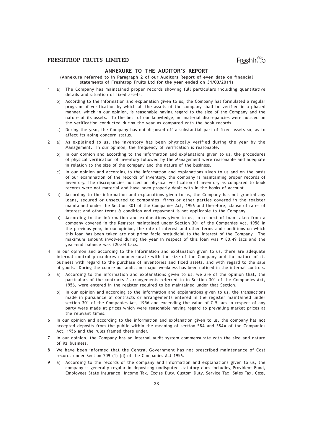### ANNEXURE TO THE AUDITOR'S REPORT

(Annexure referred to in Paragraph 2 of our Auditors Report of even date on financial statements of Freshtrop Fruits Ltd for the year ended on 31/03/2011)

- 1 a) The Company has maintained proper records showing full particulars including quantitative details and situation of fixed assets.
	- b) According to the information and explanation given to us, the Company has formulated a regular program of verification by which all the assets of the company shall be verified in a phased manner, which in our opinion, is reasonable having regard to the size of the Company and the nature of its assets. To the best of our knowledge, no material discrepancies were noticed on the verification conducted during the year as compared with the book records.
	- c) During the year, the Company has not disposed off a substantial part of fixed assets so, as to affect its going concern status.
- 2 a) As explained to us, the inventory has been physically verified during the year by the Management. In our opinion, the frequency of verification is reasonable.
	- b) In our opinion and according to the information and explanations given to us, the procedures of physical verification of inventory followed by the Management were reasonable and adequate in relation to the size of the company and the nature of the business.
	- c) In our opinion and according to the information and explanations given to us and on the basis of our examination of the records of inventory, the company is maintaining proper records of inventory. The discrepancies noticed on physical verification of inventory as compared to book records were not material and have been properly dealt with in the books of account.
- 3 a) According to the information and explanations given to us, the Company has not granted any loans, secured or unsecured to companies, firms or other parties covered in the register maintained under the Section 301 of the Companies Act, 1956 and therefore, clause of rates of interest and other terms & condition and repayment is not applicable to the Company.
	- b) According to the information and explanations given to us, in respect of loan taken from a company covered in the Register maintained under Section 301 of the Companies Act, 1956 in the previous year, in our opinion, the rate of interest and other terms and conditions on which this loan has been taken are not prima facie prejudicial to the interest of the Company. The maximum amount involved during the year in respect of this loan was  $\bar{\tau}$  80.49 lacs and the vear-end balance was ₹20.04 Lacs.
- In our opinion and according to the information and explanation given to us, there are adequate internal control procedures commensurate with the size of the Company and the nature of its business with regard to the purchase of inventories and fixed assets, and with regard to the sale of goods. During the course our audit, no major weakness has been noticed in the internal controls.
- 5 a) According to the information and explanations given to us, we are of the opinion that, the particulars of the contracts / arrangements referred to in Section 301 of the Companies Act, 1956, were entered in the register required to be maintained under that Section.
	- b) In our opinion and according to the information and explanations given to us, the transactions made in pursuance of contracts or arrangements entered in the register maintained under section 301 of the Companies Act, 1956 and exceeding the value of  $\bar{\tau}$  5 lacs in respect of any party were made at prices which were reasonable having regard to prevailing market prices at the relevant times.
- 6 In our opinion and according to the information and explanation given to us, the company has not accepted deposits from the public within the meaning of section 58A and 58AA of the Companies Act, 1956 and the rules framed there under.
- 7 In our opinion, the Company has an internal audit system commensurate with the size and nature of its business.
- 8 We have been informed that the Central Government has not prescribed maintenance of Cost records under Section 209 (1) (d) of the Companies Act 1956.
- 9 a) According to the records of the company and information and explanations given to us, the company is generally regular in depositing undisputed statutory dues including Provident Fund, Employees State Insurance, Income Tax, Excise Duty, Custom Duty, Service Tax, Sales Tax, Cess,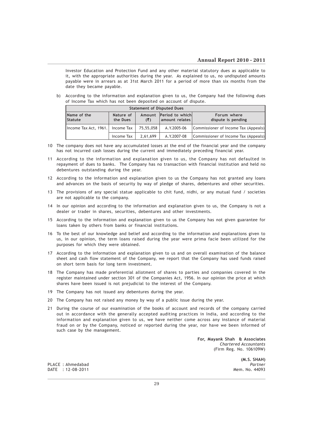Investor Education and Protection Fund and any other material statutory dues as applicable to it, with the appropriate authorities during the year. As explained to us, no undisputed amounts payable were in arrears as at 31st March 2011 for a period of more than six months from the date they became payable.

b) According to the information and explanation given to us, the Company had the following dues of Income Tax which has not been deposited on account of dispute.

| <b>Statement of Disputed Dues</b>  |                       |           |                                            |                                      |  |  |
|------------------------------------|-----------------------|-----------|--------------------------------------------|--------------------------------------|--|--|
| Name of the<br>Statute             | Nature of<br>the Dues | (5)       | Amount Period to which<br>  amount_relates | Forum where<br>dispute is pending    |  |  |
| Income Tax Act, 1961.   Income Tax |                       | 75,55,058 | A.Y.2005-06                                | Commissioner of Income Tax (Appeals) |  |  |
|                                    | Income Tax            | 2.61.699  | A.Y.2007-08                                | Commissioner of Income Tax (Appeals) |  |  |

- 10 The company does not have any accumulated losses at the end of the financial year and the company has not incurred cash losses during the current and immediately preceding financial year.
- 11 According to the information and explanation given to us, the Company has not defaulted in repayment of dues to banks. The Company has no transaction with financial institution and held no debentures outstanding during the year.
- 12 According to the information and explanation given to us the Company has not granted any loans and advances on the basis of security by way of pledge of shares, debentures and other securities.
- 13 The provisions of any special statue applicable to chit fund, nidhi, or any mutual fund / societies are not applicable to the company.
- 14 In our opinion and according to the information and explanation given to us, the Company is not a dealer or trader in shares, securities, debentures and other investments.
- 15 According to the information and explanation given to us the Company has not given guarantee for loans taken by others from banks or financial institutions.
- 16 To the best of our knowledge and belief and according to the information and explanations given to us, in our opinion, the term loans raised during the year were prima facie been utilized for the purposes for which they were obtained.
- 17 According to the information and explanation given to us and on overall examination of the balance sheet and cash flow statement of the Company, we report that the Company has used funds raised on short term basis for long term investment.
- 18 The Company has made preferential allotment of shares to parties and companies covered in the register maintained under section 301 of the Companies Act, 1956. In our opinion the price at which shares have been issued is not prejudicial to the interest of the Company.
- 19 The Company has not issued any debentures during the year.
- 20 The Company has not raised any money by way of a public issue during the year.
- 21 During the course of our examination of the books of account and records of the company carried out in accordance with the generally accepted auditing practices in India, and according to the information and explanation given to us, we have neither come across any instance of material fraud on or by the Company, noticed or reported during the year, nor have we been informed of such case by the management.

 For, Mayank Shah & Associates Chartered Accountants (Firm Reg. No. 106109W)

(M.S. SHAH)

PLACE : Ahmedabad Partner  $DATAF : 12-08-2011$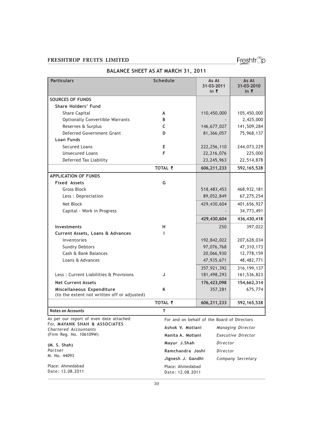Date: 12.08.2011

Freshtrop

| <b>Particulars</b>                                     | Schedule          | As At<br>31-03-2011<br>in ₹                 | As At<br>31-03-2010<br>in $\bar{z}$ |
|--------------------------------------------------------|-------------------|---------------------------------------------|-------------------------------------|
| <b>SOURCES OF FUNDS</b>                                |                   |                                             |                                     |
| <b>Share Holders' Fund</b>                             |                   |                                             |                                     |
| Share Capital                                          | A                 | 110,450,000                                 | 105,450,000                         |
| <b>Optionally Convertible Warrants</b>                 | В                 |                                             | 2,425,000                           |
| Reserves & Surplus                                     | C                 | 146,677,027                                 | 141,509,284                         |
| Deferred Government Grant                              | D                 | 81,366,057                                  | 75,968,137                          |
| <b>Loan Funds</b>                                      |                   |                                             |                                     |
| <b>Secured Loans</b>                                   | Е                 | 222, 256, 110                               | 244,073,229                         |
| <b>Unsecured Loans</b>                                 | F                 | 22,216,076                                  | 225,000                             |
| Deferred Tax Liability                                 |                   | 23, 245, 963                                | 22,514,878                          |
|                                                        | TOTAL ₹           | 606,211,233                                 | 592, 165, 528                       |
| <b>APPLICATION OF FUNDS</b>                            |                   |                                             |                                     |
| <b>Fixed Assets</b>                                    | G                 |                                             |                                     |
| <b>Gross Block</b>                                     |                   | 518,483,453                                 | 468,932,181                         |
| Less : Depreciation                                    |                   | 89,052,849                                  | 67,275,254                          |
| Net Block                                              |                   | 429,430,604                                 | 401,656,927                         |
| Capital - Work in Progress                             |                   |                                             | 34,773,491                          |
|                                                        |                   | 429,430,604                                 | 436,430,418                         |
| <b>Investments</b>                                     | н                 | 250                                         | 397,022                             |
| Current Assets, Loans & Advances                       | J.                |                                             |                                     |
| Inventories                                            |                   | 192,842,022                                 | 207,628,034                         |
| <b>Sundry Debtors</b>                                  |                   | 97,076,768                                  | 47,310,173                          |
| Cash & Bank Balances                                   |                   | 20,066,930                                  | 12,778,159                          |
| Loans & Advances                                       |                   | 47,935,671                                  | 48, 482, 771                        |
|                                                        |                   | 357,921,392                                 | 316, 199, 137                       |
| Less: Current Liabilities & Provisions                 | J                 | 181,498,293                                 | 161,536,823                         |
| <b>Net Current Assets</b>                              |                   | 176,423,098                                 | 154,662,314                         |
| Miscellaneous Expenditure                              | K                 | 357,281                                     | 675,774                             |
| (to the extent not written off or adjusted)            |                   |                                             |                                     |
|                                                        | TOTAL ₹           | 606,211,233                                 | 592, 165, 528                       |
| <b>Notes on Accounts</b>                               | т                 |                                             |                                     |
| As per our report of even date attached                |                   | For and on behalf of the Board of Directors |                                     |
| For, MAYANK SHAH & ASSOCIATES<br>Chartered Accountants | Ashok V. Motiani  |                                             | Managing Director                   |
| (Firm Reg. No. 106109W)                                | Nanita A. Motiani |                                             | Executive Director                  |
| (M. S. Shah)                                           | Mayur J.Shah      | Director                                    |                                     |
| Partner                                                | Ramchandra Joshi  | Director                                    |                                     |
| M. No. 44093                                           | Jignesh J. Gandhi |                                             | Company Secretary                   |
|                                                        |                   |                                             |                                     |
| Place: Ahmedabad                                       | Place: Ahmedabad  |                                             |                                     |

### BALANCE SHEET AS AT MARCH 31, 2011

30

Date: 12.08.2011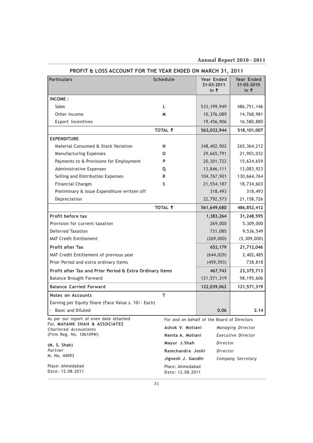### Annual Report 2010 - 2011

| <b>Particulars</b>                                       | <b>Schedule</b>   | <b>Year Ended</b>                           | Year Ended                    |
|----------------------------------------------------------|-------------------|---------------------------------------------|-------------------------------|
|                                                          |                   | 31-03-2011<br>in $\bar{\tau}$               | 31-03-2010<br>in $\bar{\tau}$ |
| <b>INCOME:</b>                                           |                   |                                             |                               |
| <b>Sales</b>                                             | L                 | 533,199,949                                 | 486,751,146                   |
| Other Income                                             | M                 | 10,376,089                                  | 14,768,981                    |
| Export Incentives                                        |                   | 19,456,906                                  | 16,580,880                    |
|                                                          | TOTAL ₹           | 563,032,944                                 | 518,101,007                   |
| <b>EXPENDITURE</b>                                       |                   |                                             |                               |
| Material Consumed & Stock Variation                      | N                 | 348,402,902                                 | 265,364,212                   |
| Manufacturing Expenses                                   | 0                 | 29,665,791                                  | 21,903,032                    |
| Payments to & Provisions for Employment                  | P                 | 20,301,722                                  | 15,624,659                    |
| Administrative Expenses                                  | Q                 | 13,846,111                                  | 13,083,923                    |
| Selling and Distribution Expenses                        | R                 | 104,767,901                                 | 130,664,764                   |
| <b>Financial Charges</b>                                 | S                 | 21,554,187                                  | 18,734,603                    |
| Preliminary & Issue Expenditure written off              |                   | 318,493                                     | 318,493                       |
| Depreciation                                             |                   | 22,792,573                                  | 21, 158, 726                  |
|                                                          | TOTAL ₹           | 561,649,680                                 | 486,852,412                   |
| Profit before tax                                        |                   | 1,383,264                                   | 31,248,595                    |
| Provision for current taxation                           |                   | 269,000                                     | 5,309,000                     |
| <b>Deferred Taxation</b>                                 |                   | 731,085                                     | 9,536,549                     |
| <b>MAT Credit Entitlement</b>                            |                   | (269,000)                                   | (5,309,000)                   |
| <b>Profit after Tax</b>                                  |                   | 652,179                                     | 21,712,046                    |
| MAT Credit Entitlement of previous year                  |                   | (644, 029)                                  | 2,402,485                     |
| Prior Period and extra ordinary Items                    |                   | (459, 593)                                  | 738,818                       |
| Profit after Tax and Prior Period & Extra Ordinary Items |                   | 467,743                                     | 23,375,713                    |
| <b>Balance Brought Forward</b>                           |                   | 121,571,319                                 | 98,195,606                    |
| <b>Balance Carried Forward</b>                           |                   | 122,039,062                                 | 121,571,319                   |
| Notes on Accounts                                        | T                 |                                             |                               |
| Earning per Equity Share (Face Value s. 10/- Each)       |                   |                                             |                               |
| <b>Basic and Diluted</b>                                 |                   | 0.06                                        | 2.14                          |
| As per our report of even date attached                  |                   | For and on behalf of the Board of Directors |                               |
| For, MAYANK SHAH & ASSOCIATES<br>Chartered Accountants   | Ashok V. Motiani  |                                             | Managing Director             |
| (Firm Reg. No. 106109W)                                  | Nanita A. Motiani |                                             | Executive Director            |
| (M. S. Shah)                                             | Mayur J.Shah      | Director                                    |                               |
| Partner                                                  | Ramchandra Joshi  | Director                                    |                               |
| M. No. 44093                                             | Jignesh J. Gandhi |                                             | Company Secretary             |
| Place: Ahmedabad                                         | Place: Ahmedabad  |                                             |                               |

### PROFIT & LOSS ACCOUNT FOR THE YEAR ENDED ON MARCH 31, 2011

Place: Ahmedabad Date : 12.08.2011

Date : 12.08.2011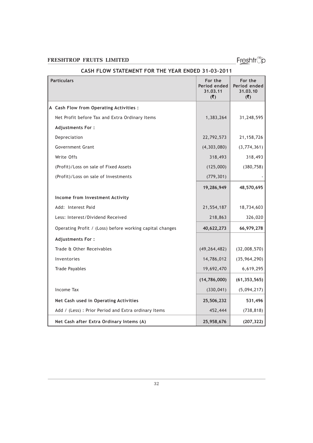Freshtrop

# Particulars For the Form of the Form of the Form of the Form of the Form of the Form of the Form of the Form of the Form of the Form of the Form of the Form of the Form of the Form of the Form of the Form of the Form of th Period ended Period ended<br>31.03.11 31.03.10 31.03.11  $(\overline{\zeta})$   $(\overline{\zeta})$ A Cash Flow from Operating Activities : Net Profit before Tax and Extra Ordinary Items 1,383,264 31,248,595 Adjustments For : Depreciation 22,792,573 21,158,726 Government Grant (4,303,080) (3,774,361) Write Offs 318,493 318,493 (Profit)/Loss on sale of Fixed Assets (125,000) (380,758)  $(Profit)/Loss on sale of Investments$  (279,301) 19,286,949 48,570,695 Income from Investment Activity Add: Interest Paid 21,554,187 | 18,734,603 Less: Interest/Dividend Received 218,863 326,020 Operating Profit / (Loss) before working capital changes  $40,622,273$  66,979,278 Adjustments For : Trade & Other Receivables (49,264,482) (32,008,570)

### CASH FLOW STATEMENT FOR THE YEAR ENDED 31-03-2011

| Net Cash after Extra Ordinary Intems (A)             | 25,958,676     | (207, 322)     |
|------------------------------------------------------|----------------|----------------|
| Add / (Less) : Prior Period and Extra ordinary Items | 452,444        | (738, 818)     |
| Net Cash used in Operating Activities                | 25,506,232     | 531,496        |
| Income Tax                                           | (330, 041)     | (5,094,217)    |
|                                                      | (14,786,000)   | (61, 353, 565) |
| <b>Trade Payables</b>                                | 19,692,470     | 6,619,295      |
| Inventories                                          | 14,786,012     | (35, 964, 290) |
| Trade & Other Receivables                            | (49, 264, 482) | (32,008,570)   |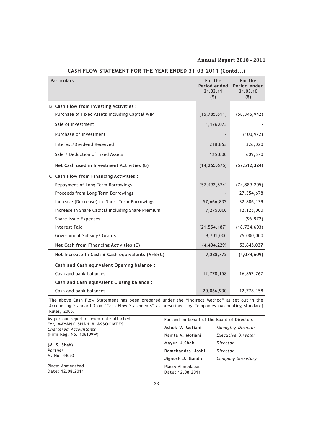Annual Report 2010 - 2011

| CASH FLOW STATEMENT FOR THE TEAR ENDED ST-03-20TT (CONG) |                                            |                                            |  |
|----------------------------------------------------------|--------------------------------------------|--------------------------------------------|--|
| <b>Particulars</b>                                       | For the<br>Period ended<br>31.03.11<br>(5) | For the<br>Period ended<br>31.03.10<br>(5) |  |
| <b>B</b> Cash Flow from Investing Activities :           |                                            |                                            |  |
| Purchase of Fixed Assets including Capital WIP           | (15, 785, 611)                             | (58, 346, 942)                             |  |
| Sale of Investment                                       | 1,176,073                                  |                                            |  |
| Purchase of Investment                                   |                                            | (100, 972)                                 |  |
| Interest/Dividend Received                               | 218,863                                    | 326,020                                    |  |
| Sale / Deduction of Fixed Assets                         | 125,000                                    | 609,570                                    |  |
| Net Cash used in Investment Activities (B)               | (14, 265, 675)                             | (57, 512, 324)                             |  |
| C Cash Flow from Financing Activities :                  |                                            |                                            |  |
| Repayment of Long Term Borrowings                        | (57, 492, 874)                             | (74, 889, 205)                             |  |
| Proceeds from Long Term Borrowings                       |                                            | 27,354,678                                 |  |
| Increase (Decrease) in Short Term Borrowings             | 57,666,832                                 | 32,886,139                                 |  |
| Increase in Share Capital including Share Premium        | 7,275,000                                  | 12,125,000                                 |  |
| Share Issue Expenses                                     |                                            | (96, 972)                                  |  |
| <b>Interest Paid</b>                                     | (21, 554, 187)                             | (18, 734, 603)                             |  |
| Government Subsidy/ Grants                               | 9,701,000                                  | 75,000,000                                 |  |
| Net Cash from Financing Activities (C)                   | (4, 404, 229)                              | 53,645,037                                 |  |
| Net Increase In Cash & Cash equivalents (A+B+C)          | 7,288,772                                  | (4,074,609)                                |  |
| Cash and Cash equivalent Opening balance :               |                                            |                                            |  |
| Cash and bank balances                                   | 12,778,158                                 | 16,852,767                                 |  |
| Cash and Cash equivalent Closing balance :               |                                            |                                            |  |
| Cash and bank balances                                   | 20,066,930                                 | 12,778,158                                 |  |
|                                                          |                                            |                                            |  |

CASH FLOW STATEMENT FOR THE YEAR ENDED 31-03-2011 (Contd...)

The above Cash Flow Statement has been prepared under the "Indirect Method" as set out in the Accounting Standard 3 on "Cash Flow Statements" as prescribed by Companies (Accounting Standard) Rules, 2006.

For and on behalf of the Board of Directors Ashok V. Motiani Managing Director Nanita A. Motiani Executive Director Mayur J.Shah Director Ramchandra Joshi Director Jignesh J. Gandhi Company Secretary Place: Ahmedabad Date : 12.08.2011 As per our report of even date attached For, MAYANK SHAH & ASSOCIATES Chartered Accountants (Firm Reg. No. 106109W) (M. S. Shah) Partner M. No. 44093 Place: Ahmedabad Date : 12.08.2011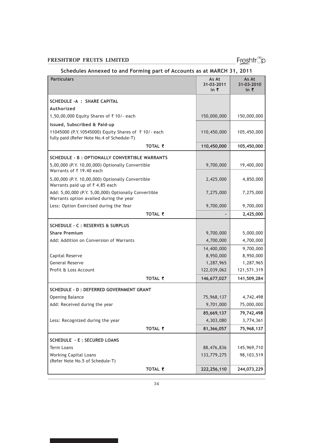Freshtrop

### Schedules Annexed to and Forming part of Accounts as at MARCH 31, 2011

| <b>Particulars</b>                                                                                | As At                      | As At                      |
|---------------------------------------------------------------------------------------------------|----------------------------|----------------------------|
|                                                                                                   | 31-03-2011<br>in $\bar{z}$ | 31-03-2010<br>in $\bar{z}$ |
| <b>SCHEDULE - A : SHARE CAPITAL</b>                                                               |                            |                            |
| Authorized                                                                                        |                            |                            |
| 1,50,00,000 Equity Shares of ₹10/- each                                                           | 150,000,000                | 150,000,000                |
| Issued, Subscribed & Paid-up                                                                      |                            |                            |
| 11045000 (P.Y.10545000) Equity Shares of ₹10/- each<br>fully paid (Refer Note No.4 of Schedule-T) | 110,450,000                | 105,450,000                |
| TOTAL ₹                                                                                           | 110,450,000                | 105,450,000                |
| <b>SCHEDULE - B: OPTIONALLY CONVERTIBLE WARRANTS</b>                                              |                            |                            |
| 5,00,000 (P.Y. 10,00,000) Optionally Convertible<br>Warrants of ₹19.40 each                       | 9,700,000                  | 19,400,000                 |
| 5,00,000 (P.Y. 10,00,000) Optionally Convertible<br>Warrants paid up of ₹4.85 each                | 2,425,000                  | 4,850,000                  |
| Add: 5,00,000 (P.Y. 5,00,000) Optionally Convertible<br>Warrants option availed during the year   | 7,275,000                  | 7,275,000                  |
| Less: Option Exercised during the Year                                                            | 9,700,000                  | 9,700,000                  |
| TOTAL ₹                                                                                           |                            | 2,425,000                  |
| SCHEDULE - C : RESERVES & SURPLUS                                                                 |                            |                            |
| <b>Share Premium</b>                                                                              | 9,700,000                  | 5,000,000                  |
| Add: Addition on Conversion of Warrants                                                           | 4,700,000                  | 4,700,000                  |
|                                                                                                   | 14,400,000                 | 9,700,000                  |
| Capital Reserve                                                                                   | 8,950,000                  | 8,950,000                  |
| <b>General Reserve</b>                                                                            | 1,287,965                  | 1,287,965                  |
| Profit & Loss Account                                                                             | 122,039,062                | 121,571,319                |
| TOTAL ₹                                                                                           | 146,677,027                | 141,509,284                |
| <b>SCHEDULE - D : DEFERRED GOVERNMENT GRANT</b>                                                   |                            |                            |
| <b>Opening Balance</b>                                                                            | 75,968,137                 | 4,742,498                  |
| Add: Received during the year                                                                     | 9,701,000                  | 75,000,000                 |
|                                                                                                   | 85,669,137                 | 79,742,498                 |
| Less: Recognized during the year                                                                  | 4,303,080                  | 3,774,361                  |
| TOTAL ₹                                                                                           | 81,366,057                 | 75,968,137                 |
| <b>SCHEDULE - E: SECURED LOANS</b>                                                                |                            |                            |
| Term Loans                                                                                        | 88,476,836                 | 145,969,710                |
| <b>Working Capital Loans</b><br>(Refer Note No.5 of Schedule-T)                                   | 133,779,275                | 98,103,519                 |
| TOTAL ₹                                                                                           | 222,256,110                | 244,073,229                |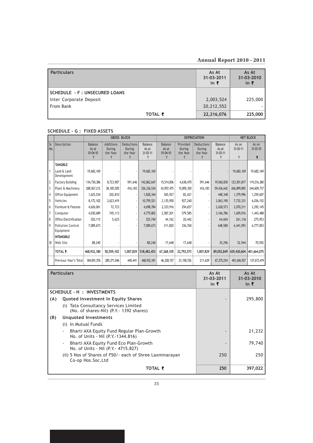### Annual Report 2010 - 2011

| <b>Particulars</b>                   |         | As At<br>31-03-2011<br>in $\bar{z}$ | As At<br>31-03-2010<br>in $\bar{z}$ |
|--------------------------------------|---------|-------------------------------------|-------------------------------------|
| <b>SCHEDULE - F: UNSECURED LOANS</b> |         |                                     |                                     |
| Inter Corporate Deposit              |         | 2,003,524                           | 225,000                             |
| From Bank                            |         | 20,212,552                          |                                     |
|                                      | TOTAL ₹ | 22,216,076                          | 225,000                             |

### SCHEDULE - G : FIXED ASSETS

|                            |                                       |                                                |                                      | <b>GROSS BLOCK</b>                    |                                   |                                         |                                            | <b>DEPRECIATION</b>                          |                                                | <b>NET BLOCK</b>             |                        |
|----------------------------|---------------------------------------|------------------------------------------------|--------------------------------------|---------------------------------------|-----------------------------------|-----------------------------------------|--------------------------------------------|----------------------------------------------|------------------------------------------------|------------------------------|------------------------|
| Sr.<br>No.                 | Description                           | <b>Balance</b><br>As at<br>$01 - 04 - 10$<br>₹ | Additions<br>During<br>the Year<br>₹ | Deductions<br>During<br>the Year<br>₹ | Balance<br>As at<br>31-03-11<br>₹ | Balance<br>As at<br>$01 - 04 - 10$<br>₹ | Provided<br><b>During</b><br>the Year<br>₹ | <b>Deductions</b><br>During<br>the Year<br>₹ | <b>Balance</b><br>As at<br>$31 - 03 - 11$<br>₹ | As on<br>$31 - 03 - 11$<br>₹ | As on<br>31-03-10<br>₹ |
|                            | <b>TANGIBLE</b>                       |                                                |                                      |                                       |                                   |                                         |                                            |                                              |                                                |                              |                        |
|                            | Land & Land<br>Development            | 19,682,169                                     |                                      |                                       | 19,682,169                        |                                         |                                            |                                              |                                                | 19,682,169                   | 19,682,169             |
| $\overline{2}$             | <b>Factory Building</b>               | 134,730,386                                    | 8,723,907                            | 591,646                               | 142,862,647                       | 15,514,006                              | 4,638,470                                  | 591,646                                      | 19,560,830                                     | 123,301,817                  | 119,216,380            |
| $\overline{3}$             | Plant & Machinery                     | 288,567,212                                    | 38,185,505                           | 416,183                               | 326, 336, 534                     | 43,957,475                              | 15,895,350                                 | 416,183                                      | 59,436,642                                     | 266,899,892                  | 244,609,737            |
| 4                          | Office Equipment                      | 1,625,534                                      | 202,810                              | ٠                                     | 1,828,344                         | 365,927                                 | 82,421                                     | $\overline{\phantom{a}}$                     | 448,348                                        | 1,379,996                    | 1,259,607              |
| 5                          | Vehicles                              | 8,172,102                                      | 2,623,419                            | ٠                                     | 10,795,521                        | 2,135,950                               | 927,240                                    |                                              | 3,063,190                                      | 7,732,331                    | 6,036,152              |
| 6                          | Furniture & Fixtures                  | 4,626,061                                      | 72,723                               | ٠                                     | 4,698,784                         | 2,333,916                               | 294,657                                    | $\overline{\phantom{a}}$                     | 2,628,573                                      | 2,070,211                    | 2,292,145              |
| 7                          | Computer                              | 4,030,689                                      | 745,113                              |                                       | 4,775,802                         | 2,587,201                               | 579,585                                    | $\overline{\phantom{a}}$                     | 3,166,786                                      | 1,609,016                    | 1,443,488              |
| 8                          | Office Electrification                | 320,115                                        | 5,625                                | ٠                                     | 325,740                           | 44,162                                  | 20,442                                     | $\overline{\phantom{a}}$                     | 64,604                                         | 261,136                      | 275,953                |
| 9                          | <b>Pollution Control</b><br>Equipment | 7,089,673                                      |                                      |                                       | 7,089,673                         | 311,820                                 | 336,760                                    |                                              | 648,580                                        | 6,441,093                    | 6,777,853              |
|                            | <b>INTANGIBLE</b>                     |                                                |                                      |                                       |                                   |                                         |                                            |                                              |                                                |                              |                        |
| $\boldsymbol{\mathsf{10}}$ | Web Site                              | 88,240                                         |                                      |                                       | 88,240                            | 17,648                                  | 17,648                                     |                                              | 35,296                                         | 52,944                       | 70,592                 |
|                            | <b>TOTAL ₹</b>                        | 468,932,180                                    | 50,559,102                           | 1,007,829                             | 518,483,453                       | 67,268,105                              | 22,792,573                                 | 1,007,829                                    | 89.052.849                                     | 429,430,604                  | 401.664.075            |
|                            | Previous Year's Total                 | 184,001,576                                    | 285,371,046                          | 440,441                               | 468,932,181                       | 46,328,157                              | 21,158,726                                 | 211,629                                      | 67,275,254                                     | 401,656,927                  | 137,673,419            |

| <b>Particulars</b>                                                                                           | As At<br>31-03-2011<br>in $\bar{z}$ | As At<br>31-03-2010<br>in $\bar{z}$ |         |
|--------------------------------------------------------------------------------------------------------------|-------------------------------------|-------------------------------------|---------|
| SCHEDULE - H: INVESTMENTS                                                                                    |                                     |                                     |         |
| Quoted Investment In Equity Shares<br>(A)                                                                    |                                     |                                     | 295,800 |
| Tata Consultancy Services Limited<br>(i)<br>(No. of shares-Nil) (P.Y. - 1392 shares)                         |                                     |                                     |         |
| (B)<br>Unquoted Investments                                                                                  |                                     |                                     |         |
| In Mutual Funds<br>(i)                                                                                       |                                     |                                     |         |
| Bharti AXA Equity Fund Regular Plan-Growth<br>$\overline{\phantom{a}}$<br>No. of Units - Nil (P.Y.-1344.816) |                                     |                                     | 21,232  |
| Bharti AXA Equity Fund Eco Plan-Growth<br>$\overline{\phantom{a}}$<br>No. of Units - Nil (P.Y. - 4715.827)   |                                     |                                     | 79,740  |
| (ii) 5 Nos of Shares of $\overline{50}/$ - each of Shree Laxminarayan<br>Co-op Hos.Soc.Ltd                   |                                     | 250                                 | 250     |
|                                                                                                              | TOTAL ₹                             | 250                                 | 397,022 |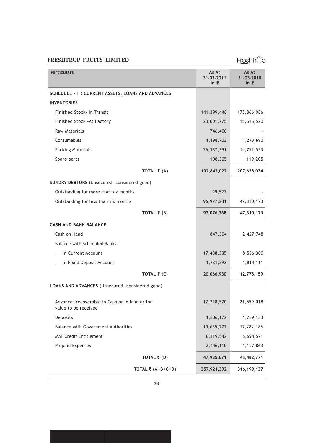Freshtrop

| <b>Particulars</b>                                                     | As At<br>31-03-2011<br>in ₹ | As At<br>31-03-2010<br>in ₹ |
|------------------------------------------------------------------------|-----------------------------|-----------------------------|
| SCHEDULE - I: CURRENT ASSETS, LOANS AND ADVANCES                       |                             |                             |
| <b>INVENTORIES</b>                                                     |                             |                             |
| Finished Stock- In Transit                                             | 141,399,448                 | 175,866,086                 |
| Finished Stock - At Factory                                            | 23,001,775                  | 15,616,520                  |
| <b>Raw Materials</b>                                                   | 746,400                     |                             |
| Consumables                                                            | 1,198,703                   | 1,273,690                   |
| Packing Materials                                                      | 26,387,391                  | 14,752,533                  |
| Spare parts                                                            | 108,305                     | 119,205                     |
| TOTAL $\bar{\bar{\xi}}$ (A)                                            | 192,842,022                 | 207,628,034                 |
| SUNDRY DEBTORS (Unsecured, considered good)                            |                             |                             |
| Outstanding for more than six months                                   | 99,527                      |                             |
| Outstanding for less than six months                                   | 96, 977, 241                | 47,310,173                  |
| TOTAL $\bar{\tau}$ (B)                                                 | 97,076,768                  | 47,310,173                  |
| <b>CASH AND BANK BALANCE</b>                                           |                             |                             |
| Cash on Hand                                                           | 847,304                     | 2,427,748                   |
| Balance with Scheduled Banks :                                         |                             |                             |
| In Current Account                                                     | 17,488,335                  | 8,536,300                   |
| In Fixed Deposit Account                                               | 1,731,292                   | 1,814,111                   |
| TOTAL $\bar{\tau}$ (C)                                                 | 20,066,930                  | 12,778,159                  |
| LOANS AND ADVANCES (Unsecured, considered good)                        |                             |                             |
| Advances recoverable in Cash or in kind or for<br>value to be received | 17,728,570                  | 21,559,018                  |
| Deposits                                                               | 1,806,172                   | 1,789,133                   |
| <b>Balance with Government Authorities</b>                             | 19,635,277                  | 17,282,186                  |
| MAT Credit Entitlement                                                 | 6,319,542                   | 6,694,571                   |
| Prepaid Expenses                                                       | 2,446,110                   | 1,157,863                   |
| TOTAL $\bar{\tau}$ (D)                                                 | 47,935,671                  | 48,482,771                  |
| TOTAL ₹ $(A+B+C+D)$                                                    | 357,921,392                 | 316, 199, 137               |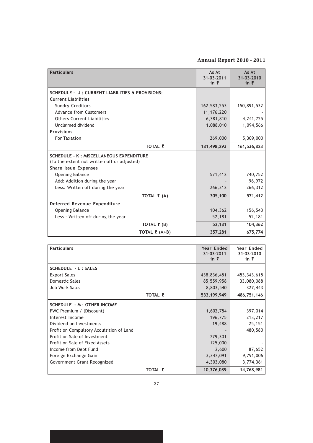Annual Report 2010 - 2011

| <b>Particulars</b>                              | As At<br>31-03-2011 | As At<br>31-03-2010 |
|-------------------------------------------------|---------------------|---------------------|
|                                                 | in $\bar{z}$        | in $\bar{z}$        |
| SCHEDULE - J: CURRENT LIABILITIES & PROVISIONS: |                     |                     |
| <b>Current Liabilities</b>                      |                     |                     |
| <b>Sundry Creditors</b>                         | 162,583,253         | 150,891,532         |
| <b>Advance from Customers</b>                   | 11, 176, 220        |                     |
| <b>Others Current Liabilities</b>               | 6,381,810           | 4, 241, 725         |
| Unclaimed dividend                              | 1,088,010           | 1,094,566           |
| <b>Provisions</b>                               |                     |                     |
| For Taxation                                    | 269,000             | 5,309,000           |
| TOTAL ₹                                         | 181,498,293         | 161,536,823         |
| <b>SCHEDULE - K: MISCELLANEOUS EXPENDITURE</b>  |                     |                     |
| (To the extent not written off or adjusted)     |                     |                     |
| <b>Share Issue Expenses</b>                     |                     |                     |
| <b>Opening Balance</b>                          | 571,412             | 740,752             |
| Add: Addition during the year                   |                     | 96,972              |
| Less: Written off during the year               | 266,312             | 266,312             |
| TOTAL $\bar{\mathbf{z}}$ (A)                    | 305,100             | 571,412             |
| Deferred Revenue Expenditure                    |                     |                     |
| <b>Opening Balance</b>                          | 104,362             | 156,543             |
| Less: Written off during the year               | 52,181              | 52,181              |
| TOTAL $\bar{\mathbf{z}}$ (B)                    | 52,181              | 104,362             |
| TOTAL $\bar{\tau}$ (A+B)                        | 357,281             | 675,774             |

| <b>Particulars</b>                       | Year Ended<br>31-03-2011<br>in $\bar{z}$ | Year Ended<br>31-03-2010<br>in ₹ |
|------------------------------------------|------------------------------------------|----------------------------------|
| <b>SCHEDULE - L: SALES</b>               |                                          |                                  |
| <b>Export Sales</b>                      | 438,836,451                              | 453, 343, 615                    |
| Domestic Sales                           | 85,559,958                               | 33,080,088                       |
| Job Work Sales                           | 8,803,540                                | 327,443                          |
| TOTAL ₹                                  | 533, 199, 949                            | 486,751,146                      |
| <b>SCHEDULE - M : OTHER INCOME</b>       |                                          |                                  |
| FWC Premium / (Discount)                 | 1,602,754                                | 397,014                          |
| Interest Income                          | 196,775                                  | 213,217                          |
| Dividend on Investments                  | 19,488                                   | 25,151                           |
| Profit on Compulsory Acquisition of Land |                                          | 480,580                          |
| Profit on Sale of Investment             | 779,301                                  |                                  |
| Profit on Sale of Fixed Assets           | 125,000                                  |                                  |
| Income from Debt Fund                    | 2,600                                    | 87,652                           |
| Foreign Exchange Gain                    | 3,347,091                                | 9,791,006                        |
| Government Grant Recognized              | 4,303,080                                | 3,774,361                        |
| TOTAL ₹                                  | 10,376,089                               | 14,768,981                       |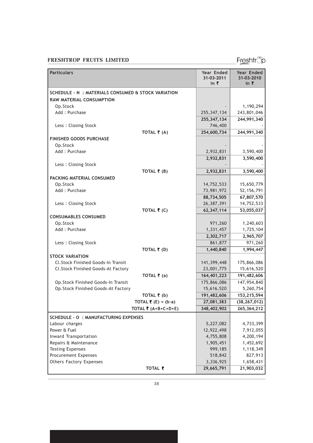Freshtrop

| <b>Particulars</b>                                 |                                    | Year Ended<br>31-03-2011<br>in ₹ | Year Ended<br>31-03-2010<br>in ₹ |
|----------------------------------------------------|------------------------------------|----------------------------------|----------------------------------|
| SCHEDULE - N: MATERIALS CONSUMED & STOCK VARIATION |                                    |                                  |                                  |
| RAW MATERIAL CONSUMPTION                           |                                    |                                  |                                  |
| Op.Stock                                           |                                    |                                  | 1,190,294                        |
| Add: Purchase                                      |                                    | 255, 347, 134                    | 243,801,046                      |
|                                                    |                                    | 255, 347, 134                    | 244,991,340                      |
| Less: Closing Stock                                |                                    | 746,400                          |                                  |
|                                                    | TOTAL $\bar{\bar{\mathbf{z}}}$ (A) | 254,600,734                      | 244,991,340                      |
| <b>FINISHED GOODS PURCHASE</b>                     |                                    |                                  |                                  |
| Op.Stock                                           |                                    |                                  |                                  |
| Add: Purchase                                      |                                    | 2,932,831                        | 3,590,400                        |
|                                                    |                                    | 2,932,831                        | 3,590,400                        |
| Less: Closing Stock                                |                                    |                                  |                                  |
|                                                    | TOTAL $\bar{\bar{\mathbf{z}}}$ (B) | 2,932,831                        | 3,590,400                        |
| PACKING MATERIAL CONSUMED                          |                                    |                                  |                                  |
| Op.Stock                                           |                                    | 14,752,533                       | 15,650,779                       |
| Add: Purchase                                      |                                    | 73,981,972                       | 52, 156, 791                     |
|                                                    |                                    | 88,734,505                       | 67,807,570                       |
| Less: Closing Stock                                |                                    | 26,387,391                       | 14,752,533                       |
|                                                    | TOTAL $\bar{\bar{\mathbf{z}}}$ (C) | 62,347,114                       | 53,055,037                       |
| <b>CONSUMABLES CONSUMED</b>                        |                                    |                                  |                                  |
| Op.Stock                                           |                                    | 971,260                          | 1,240,603                        |
| Add: Purchase                                      |                                    | 1,331,457                        | 1,725,104                        |
|                                                    |                                    | 2,302,717                        | 2,965,707                        |
| Less: Closing Stock                                |                                    | 861,877                          | 971,260                          |
|                                                    | TOTAL $\bar{\tau}$ (D)             | 1,440,840                        | 1,994,447                        |
| <b>STOCK VARIATION</b>                             |                                    |                                  |                                  |
| Cl.Stock Finished Goods-In Transit                 |                                    | 141,399,448                      | 175,866,086                      |
| Cl.Stock Finished Goods-At Factory                 |                                    | 23,001,775                       | 15,616,520                       |
|                                                    | TOTAL ₹ (a)                        | 164,401,223                      | 191,482,606                      |
| Op.Stock Finished Goods-In Transit                 |                                    | 175,866,086                      | 147,954,840                      |
| Op.Stock Finished Goods-At Factory                 |                                    | 15,616,520                       | 5,260,754                        |
|                                                    | TOTAL $\bar{\tau}$ (b)             | 191,482,606                      | 153,215,594                      |
|                                                    | TOTAL $\bar{\tau}$ (E) = (b-a)     | 27,081,383                       | (38, 267, 012)                   |
|                                                    | TOTAL ₹ (A+B+C+D+E)                | 348,402,902                      | 265,364,212                      |
| <b>SCHEDULE - O : MANUFACTURING EXPENSES</b>       |                                    |                                  |                                  |
| Labour charges                                     |                                    | 5,227,082                        | 4,733,399                        |
| Power & Fuel                                       |                                    | 12,922,498                       | 7,912,055                        |
| Inward Transportation                              |                                    | 4,755,808                        | 4,200,194                        |
| Repairs & Maintenance                              |                                    | 1,905,451                        | 1,452,692                        |
| <b>Testing Expenses</b>                            |                                    | 999,185                          | 1,118,349                        |
| <b>Procurement Expenses</b>                        |                                    | 518,842                          | 827,913                          |
| <b>Others Factory Expenses</b>                     |                                    | 3,336,925                        | 1,658,431                        |
|                                                    | TOTAL ₹                            | 29,665,791                       | 21,903,032                       |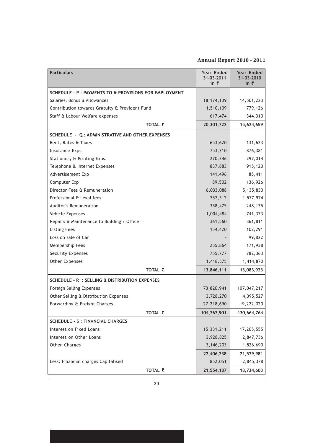### Annual Report 2010 - 2011

| <b>Particulars</b>                                     | <b>Year Ended</b><br>31-03-2011<br>in ₹ | Year Ended<br>31-03-2010<br>in ₹ |
|--------------------------------------------------------|-----------------------------------------|----------------------------------|
| SCHEDULE - P : PAYMENTS TO & PROVISIONS FOR EMPLOYMENT |                                         |                                  |
| Salaries, Bonus & Allowances                           | 18, 174, 139                            | 14,501,223                       |
| Contribution towards Gratuity & Provident Fund         | 1,510,109                               | 779,126                          |
| Staff & Labour Welfare expenses                        | 617,474                                 | 344,310                          |
| TOTAL ₹                                                | 20,301,722                              | 15,624,659                       |
| SCHEDULE - Q: ADMINISTRATIVE AND OTHER EXPENSES        |                                         |                                  |
| Rent, Rates & Taxes                                    | 653,620                                 | 131,623                          |
| Insurance Exps.                                        | 753,710                                 | 876,381                          |
| Stationery & Printing Exps.                            | 270,346                                 | 297,014                          |
| Telephone & Internet Expenses                          | 837,883                                 | 915,120                          |
| Advertisement Exp                                      | 141,496                                 | 85,411                           |
| Computer Exp                                           | 89,502                                  | 136,926                          |
| Director Fees & Remuneration                           | 6,033,088                               | 5,135,830                        |
| Professional & Legal fees                              | 757,312                                 | 1,577,974                        |
| Auditor's Remuneration                                 | 358,475                                 | 248,175                          |
| Vehicle Expenses                                       | 1,004,484                               | 741,373                          |
| Repairs & Maintenance to Building / Office             | 361,560                                 | 361,811                          |
| <b>Listing Fees</b>                                    | 154,420                                 | 107,291                          |
| Loss on sale of Car                                    |                                         | 99,822                           |
| Membership Fees                                        | 255,864                                 | 171,938                          |
| Security Expenses                                      | 755,777                                 | 782,363                          |
| Other Expenses                                         | 1,418,575                               | 1,414,870                        |
| TOTAL ₹                                                | 13,846,111                              | 13,083,923                       |
| SCHEDULE - R : SELLING & DISTRIBUTION EXPENSES         |                                         |                                  |
| Foreign Selling Expenses                               | 73,820,941                              | 107,047,217                      |
| Other Selling & Distribution Expenses                  | 3,728,270                               | 4,395,527                        |
| Forwarding & Freight Charges                           | 27,218,690                              | 19,222,020                       |
| TOTAL ₹                                                | 104,767,901                             | 130,664,764                      |
| <b>SCHEDULE - S : FINANCIAL CHARGES</b>                |                                         |                                  |
| Interest on Fixed Loans                                | 15,331,211                              | 17,205,555                       |
| Interest on Other Loans                                | 3,928,825                               | 2,847,736                        |
| Other Charges                                          | 3, 146, 203                             | 1,526,690                        |
|                                                        | 22,406,238                              | 21,579,981                       |
| Less: Financial charges Capitalised                    | 852,051                                 | 2,845,378                        |
| TOTAL ₹                                                | 21,554,187                              | 18,734,603                       |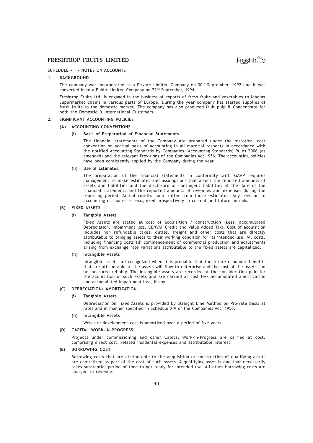### SCHEDULE – T - NOTES ON ACCOUNTS

### 1. BACKGROUND

The company was incorporated as a Private Limited Company on 30th September, 1992 and it was converted in to a Public Limited Company on 22nd September, 1994.

Freshtrop Fruits Ltd. is engaged in the business of exports of fresh fruits and vegetables to leading Supermarket chains in various parts of Europe. During the year company has started supplies of fresh fruits to the domestic market. The company has also produced fruit pulp & Concentrate for both the Domestic & International Customers.

### 2. SIGNIFICANT ACCOUNTING POLICIES

### (A) ACCOUNTING CONVENTIONS

#### (i) Basis of Preparation of Financial Statements

The financial statements of the Company are prepared under the historical cost convention on accrual basis of accounting in all material respects in accordance with the notified Accounting Standards by Companies (Accounting Standards) Rules 2006 (as amended) and the relevant Provisions of the Companies Act,1956. The accounting policies have been consistently applied by the Company during the year.

#### (ii) Use of Estimates

The preparation of the financial statements in conformity with GAAP requires management to make estimates and assumptions that affect the reported amounts of assets and liabilities and the disclosure of contingent liabilities at the date of the financial statements and the reported amounts of revenues and expenses during the reporting period. Actual results could differ from those estimates. Any revision to accounting estimates is recognized prospectively in current and future periods.

### (B) FIXED ASSETS

#### (i) Tangible Assets

Fixed Assets are stated at cost of acquisition / construction (Less: accumulated Depreciation, impairment loss, CENVAT Credit and Value Added Tax). Cost of acquisition includes non refundable taxes, duties, freight and other costs that are directly attributable to bringing assets to their working condition for its intended use. All costs, including financing costs till commencement of commercial production and adjustments arising from exchange rate variations attributable to the fixed assets are capitalized.

#### (ii) Intangible Assets

Intangible assets are recognized when it is probable that the future economic benefits that are attributable to the assets will flow to enterprise and the cost of the assets can be measured reliably. The intangible assets are recorded at the consideration paid for the acquisition of such assets and are carried at cost less accumulated amortization and accumulated impairment loss, if any.

### (C) DEPRECIATION/ AMORTIZATION

#### (i) Tangible Assets

Depreciation on Fixed Assets is provided by Straight Line Method on Pro-rata basis at rates and in manner specified in Schedule XIV of the Companies Act, 1956.

#### (ii) Intangible Assets

Web site development cost is amortized over a period of five years.

### (D) CAPITAL WORK-IN-PROGRESS

Projects under commissioning and other Capital Work-in-Progress are carried at cost, comprising direct cost, related incidental expenses and attributable interest.

### (E) BORROWING COST

Borrowing costs that are attributable to the acquisition or construction of qualifying assets are capitalized as part of the cost of such assets. A qualifying asset is one that necessarily takes substantial period of time to get ready for intended use. All other borrowing costs are charged to revenue.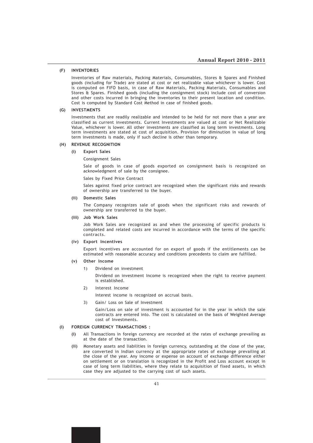### (F) INVENTORIES

Inventories of Raw materials, Packing Materials, Consumables, Stores & Spares and Finished goods (including for Trade) are stated at cost or net realizable value whichever is lower. Cost is computed on FIFO basis, in case of Raw Materials, Packing Materials, Consumables and Stores & Spares. Finished goods (including the consignment stock) include cost of conversion and other costs incurred in bringing the inventories to their present location and condition. Cost is computed by Standard Cost Method in case of finished goods.

#### (G) INVESTMENTS

Investments that are readily realizable and intended to be held for not more than a year are classified as current investments. Current Investments are valued at cost or Net Realizable Value, whichever is lower. All other investments are classified as long term investments. Long term investments are stated at cost of acquisition. Provision for diminution in value of long term investments is made, only if such decline is other than temporary.

### (H) REVENUE RECOGNITION

#### (i) Export Sales

Consignment Sales

Sale of goods in case of goods exported on consignment basis is recognized on acknowledgment of sale by the consignee.

### Sales by Fixed Price Contract

Sales against fixed price contract are recognized when the significant risks and rewards of ownership are transferred to the buyer.

### (ii) Domestic Sales

The Company recognizes sale of goods when the significant risks and rewards of ownership are transferred to the buyer.

#### (iii) Job Work Sales

Job Work Sales are recognized as and when the processing of specific products is completed and related costs are incurred in accordance with the terms of the specific contracts.

#### (iv) Export Incentives

Export incentives are accounted for on export of goods if the entitlements can be estimated with reasonable accuracy and conditions precedents to claim are fulfilled.

### (v) Other Income

1) Dividend on investment

Dividend on investment Income is recognized when the right to receive payment is established.

2) Interest Income

Interest income is recognized on accrual basis.

3) Gain/ Loss on Sale of Investment

Gain/Loss on sale of investment is accounted for in the year in which the sale contracts are entered into. The cost is calculated on the basis of Weighted Average cost of Investments.

### (I) FOREIGN CURRENCY TRANSACTIONS :

- (i) All Transactions in foreign currency are recorded at the rates of exchange prevailing as at the date of the transaction.
- (ii) Monetary assets and liabilities in foreign currency, outstanding at the close of the year, are converted in Indian currency at the appropriate rates of exchange prevailing at the close of the year. Any income or expense on account of exchange difference either on settlement or on translation is recognized in the Profit and Loss account except in case of long term liabilities, where they relate to acquisition of fixed assets, in which case they are adjusted to the carrying cost of such assets.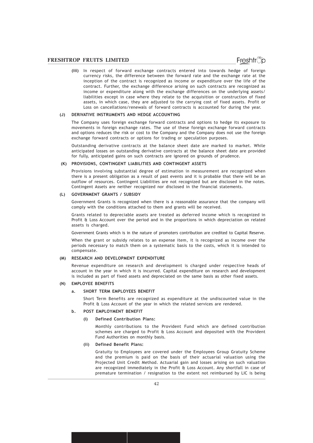(iii) In respect of forward exchange contracts entered into towards hedge of foreign currency risks, the difference between the forward rate and the exchange rate at the inception of the contract is recognized as income or expenditure over the life of the contract. Further, the exchange difference arising on such contracts are recognized as income or expenditure along with the exchange differences on the underlying assets/ liabilities except in case where they relate to the acquisition or construction of fixed assets, in which case, they are adjusted to the carrying cost of fixed assets. Profit or Loss on cancellations/renewals of forward contracts is accounted for during the year.

### (J) DERIVATIVE INSTRUMENTS AND HEDGE ACCOUNTING

The Company uses foreign exchange forward contracts and options to hedge its exposure to movements in foreign exchange rates. The use of these foreign exchange forward contracts and options reduces the risk or cost to the Company and the Company does not use the foreign exchange forward contracts or options for trading or speculation purposes.

Outstanding derivative contracts at the balance sheet date are marked to market. While anticipated losses on outstanding derivative contracts at the balance sheet date are provided for fully, anticipated gains on such contracts are ignored on grounds of prudence.

#### (K) PROVISIONS, CONTINGENT LIABILITIES AND CONTINGENT ASSETS

Provisions involving substantial degree of estimation in measurement are recognized when there is a present obligation as a result of past events and it is probable that there will be an outflow of resources. Contingent Liabilities are not recognized but are disclosed in the notes. Contingent Assets are neither recognized nor disclosed in the financial statements.

### (L) GOVERNMENT GRANTS / SUBSIDY

Government Grants is recognized when there is a reasonable assurance that the company will comply with the conditions attached to them and grants will be received.

Grants related to depreciable assets are treated as deferred income which is recognized in Profit & Loss Account over the period and in the proportions in which depreciation on related assets is charged.

Government Grants which is in the nature of promoters contribution are credited to Capital Reserve.

When the grant or subsidy relates to an expense item, it is recognized as income over the periods necessary to match them on a systematic basis to the costs, which it is intended to compensate.

### (M) RESEARCH AND DEVELOPMENT EXPENDITURE

Revenue expenditure on research and development is charged under respective heads of account in the year in which it is incurred. Capital expenditure on research and development is included as part of fixed assets and depreciated on the same basis as other fixed assets.

### (N) EMPLOYEE BENEFITS

### a. SHORT TERM EMPLOYEES BENEFIT

Short Term Benefits are recognized as expenditure at the undiscounted value in the Profit & Loss Account of the year in which the related services are rendered.

### b. POST EMPLOYMENT BENEFIT

#### (i) Defined Contribution Plans:

Monthly contributions to the Provident Fund which are defined contribution schemes are charged to Profit & Loss Account and deposited with the Provident Fund Authorities on monthly basis.

#### (ii) Defined Benefit Plans:

Gratuity to Employees are covered under the Employees Group Gratuity Scheme and the premium is paid on the basis of their actuarial valuation using the Projected Unit Credit Method. Actuarial gain and losses arising on such valuation are recognized immediately in the Profit  $\hat{a}$  Loss Account. Any shortfall in case of premature termination / resignation to the extent not reimbursed by LIC is being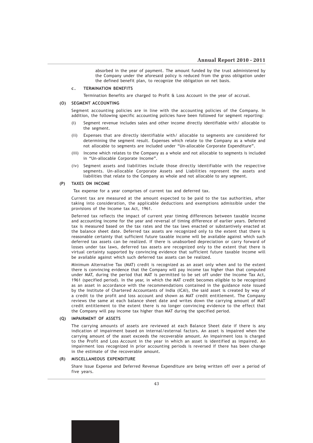absorbed in the year of payment. The amount funded by the trust administered by the Company under the aforesaid policy is reduced from the gross obligation under the defined benefit plan, to recognize the obligation on net basis.

### c. TERMINATION BENEFITS

Termination Benefits are charged to Profit & Loss Account in the year of accrual.

### (O) SEGMENT ACCOUNTING

Segment accounting policies are in line with the accounting policies of the Company. In addition, the following specific accounting policies have been followed for segment reporting:

- (i) Segment revenue includes sales and other income directly identifiable with/ allocable to the segment.
- (ii) Expenses that are directly identifiable with/ allocable to segments are considered for determining the segment result. Expenses which relate to the Company as a whole and not allocable to segments are included under "Un-allocable Corporate Expenditure".
- (iii) Income which relates to the Company as a whole and not allocable to segments is included in "Un-allocable Corporate Income".
- (iv) Segment assets and liabilities include those directly identifiable with the respective segments. Un-allocable Corporate Assets and Liabilities represent the assets and liabilities that relate to the Company as whole and not allocable to any segment.

#### (P) TAXES ON INCOME

Tax expense for a year comprises of current tax and deferred tax.

Current tax are measured at the amount expected to be paid to the tax authorities, after taking into consideration, the applicable deductions and exemptions admissible under the provisions of the Income tax Act, 1961.

Deferred tax reflects the impact of current year timing differences between taxable income and accounting income for the year and reversal of timing difference of earlier years. Deferred tax is measured based on the tax rates and the tax laws enacted or substantively enacted at the balance sheet date. Deferred tax assets are recognized only to the extent that there is reasonable certainty that sufficient future taxable income will be available against which such deferred tax assets can be realized. If there is unabsorbed depreciation or carry forward of losses under tax laws, deferred tax assets are recognized only to the extent that there is virtual certainty supported by convincing evidence that sufficient future taxable income will be available against which such deferred tax assets can be realized.

Minimum Alternative Tax (MAT) credit is recognized as an asset only when and to the extent there is convincing evidence that the Company will pay income tax higher than that computed under MAT, during the period that MAT is permitted to be set off under the Income Tax Act, 1961 (specified period). In the year, in which the MAT credit becomes eligible to be recognized as an asset in accordance with the recommendations contained in the guidance note issued by the Institute of Chartered Accountants of India (ICAI), the said asset is created by way of a credit to the profit and loss account and shown as MAT credit entitlement. The Company reviews the same at each balance sheet date and writes down the carrying amount of MAT credit entitlement to the extent there is no longer convincing evidence to the effect that the Company will pay income tax higher than MAT during the specified period.

### (Q) IMPAIRMENT OF ASSETS

The carrying amounts of assets are reviewed at each Balance Sheet date if there is any indication of impairment based on internal/external factors. An asset is impaired when the carrying amount of the asset exceeds the recoverable amount. An impairment loss is charged to the Profit and Loss Account in the year in which an asset is identified as impaired. An impairment loss recognized in prior accounting periods is reversed if there has been change in the estimate of the recoverable amount.

#### (R) MISCELLANEOUS EXPENDITURE

Share Issue Expense and Deferred Revenue Expenditure are being written off over a period of five years.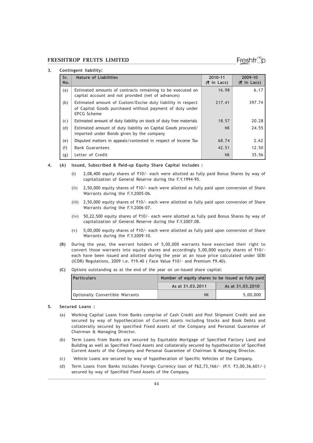### Freshtr്o

### 3. Contingent liability:

| Sr.<br>No. | <b>Nature of Liabilities</b>                                                                                                                  | 2010-11<br>$(5$ in Lacs) | 2009-10<br>$(5$ in Lacs) |
|------------|-----------------------------------------------------------------------------------------------------------------------------------------------|--------------------------|--------------------------|
| (a)        | Estimated amounts of contracts remaining to be executed on<br>capital account and not provided (net of advances)                              | 16.98                    | 6.17                     |
| (b)        | Estimated amount of Custom/Excise duty liability in respect<br>of Capital Goods purchased without payment of duty under<br><b>EPCG Scheme</b> | 217.41                   | 397.74                   |
| (c)        | Estimated amount of duty liability on stock of duty free materials                                                                            | 18.57                    | 20.28                    |
| (d)        | Estimated amount of duty liability on Capital Goods procured/<br>imported under Bonds given by the company                                    | <b>Nil</b>               | 24.55                    |
| (e)        | Disputed matters in appeals/contested in respect of Income Tax                                                                                | 68.74                    | 2.62                     |
| (f)        | <b>Bank Guarantees</b>                                                                                                                        | 42.51                    | 12.50                    |
| (g)        | Letter of Credit                                                                                                                              | <b>Nil</b>               | 35.56                    |

#### 4. (A) Issued, Subscribed & Paid-up Equity Share Capital includes :

- (i) 2,08,400 equity shares of  $\overline{510/-}$  each were allotted as fully paid Bonus Shares by way of capitalization of General Reserve during the F.Y.1994-95.
- (ii) 2,50,000 equity shares of  $\overline{510}$ /- each were allotted as fully paid upon conversion of Share Warrants during the F.Y.2005-06.
- (iii) 2,50,000 equity shares of  $\overline{410/-}$  each were allotted as fully paid upon conversion of Share Warrants during the F.Y.2006-07.
- (iv) 50,22,500 equity shares of  $\overline{510/-}$  each were allotted as fully paid Bonus Shares by way of capitalization of General Reserve during the F.Y.2007.08.
- (v) 5,00,000 equity shares of  $\overline{4}10$ /- each were allotted as fully paid upon conversion of Share Warrants during the F.Y.2009-10.
- (B) During the year, the warrant holders of 5,00,000 warrants have exercised their right to convert those warrants into equity shares and accordingly 5,00,000 equity shares of  $\overline{510/-}$ each have been issued and allotted during the year at an issue price calculated under SEBI  $(ICDR)$  Regulations, 2009 i.e.  $\overline{3}19.40$  ( Face Value  $\overline{3}10/-$  and Premium  $\overline{3}9.40$ ).
- (C) Options outstanding as at the end of the year on un-issued share capital:

| l Particulars                   | Number of equity shares to be issued as fully paid |                  |  |
|---------------------------------|----------------------------------------------------|------------------|--|
|                                 | As at 31.03.2011                                   | As at 31.03.2010 |  |
| Optionally Convertible Warrants | Nil                                                | 5,00,000         |  |

### 5. Secured Loans :

- (a) Working Capital Loans from Banks comprise of Cash Credit and Post Shipment Credit and are secured by way of hypothecation of Current Assets including Stocks and Book Debts and collaterally secured by specified Fixed Assets of the Company and Personal Guarantee of Chairman & Managing Director.
- (b) Term Loans from Banks are secured by Equitable Mortgage of Specified Factory Land and Building as well as Specified Fixed Assets and collaterally secured by hypothecation of Specified Current Assets of the Company and Personal Guarantee of Chairman & Managing Director.
- (c) Vehicle Loans are secured by way of hypothecation of Specific Vehicles of the Company.
- (d) Term Loans from Banks includes Foreign Currency loan of  $\bar{\tau}62,73,166/-(P.Y. \bar{\tau}3,00,36,601/-)$ secured by way of Specified Fixed Assets of the Company.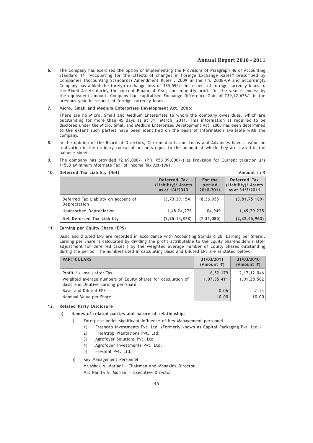### Annual Report 2010 - 2011

6. The Company has exercised the option of implementing the Provisions of Paragraph 46 of Accounting Standard 11 "Accounting for the Effects of changes in Foreign Exchange Rates" prescribed by Companies (Accounting Standards) Amendment Rules , 2009 in the F.Y. 2008-09 and accordingly Company has added the foreign exchange loss of  $\bar{z}85,595/$ - in respect of foreign currency loans to the Fixed Assets during the current Financial Year, consequently profit for the year is excess by the equivalent amount. Company had capitalised Exchange Difference Gain of  $\overline{3}9,12,626/$ - in the previous year in respect of foreign currency loans.

### 7. Micro, Small and Medium Enterprises Development Act, 2006:

There are no Micro, Small and Medium Enterprises to whom the company owes dues, which are outstanding for more than 45 days as at  $31<sup>st</sup>$  March, 2011. This information as required to be disclosed under the Micro, Small and Medium Enterprises Development Act, 2006 has been determined to the extent such parties have been identified on the basis of information available with the company.

- 8. In the opinion of the Board of Directors, Current Assets and Loans and Advances have a value on realization in the ordinary course of business equal to the amount at which they are stated in the balance sheet.
- 9. The company has provided  $Z1,69,000/-$  (P.Y.  $Z53,09,000/-$ ) as Provision for Current taxation u/s 115JB (Minimum Alternate Tax) of Income Tax Act-1961.

|                                                      | Deferred Tax<br>(Liability)/ Assets<br>as at 1/4/2010 | For the<br>period<br>2010-2011 | Deferred Tax<br>(Liability)/ Assets<br>as at 31/3/2011 |
|------------------------------------------------------|-------------------------------------------------------|--------------------------------|--------------------------------------------------------|
| Deferred Tax Liability on account of<br>Depreciation | (3, 73, 39, 154)                                      | (8, 36, 055)                   | (3, 81, 75, 189)                                       |
| Unabsorbed Depreciation                              | 1,48,24,276                                           | 1,04,949                       | 1,49,29,225                                            |
| Net Deferred Tax Liability                           | (2, 25, 14, 878)                                      | (7, 31, 085)                   | (2, 32, 45, 963)                                       |

### 10. Deferred Tax Liability (Net) Amount in  $\bar{z}$

### 11. Earning per Equity Share (EPS)

Basic and Diluted EPS are recorded in accordance with Accounting Standard 20 'Earning per Share'. Earning per Share is calculated by dividing the profit attributable to the Equity Shareholders ( after adjustment for deferred taxes ) by the weighted average number of Equity Shares outstanding during the period. The numbers used in calculating Basic and Diluted EPS are as stated below.

| <b>PARTICULARS</b>                                                                                   | 31/03/2011<br>(Amount ₹) | 31/03/2010<br>$(Amount \t{7})$ |
|------------------------------------------------------------------------------------------------------|--------------------------|--------------------------------|
| Profit / (loss) after Tax                                                                            | 6,52,179                 | 2, 17, 12, 046                 |
| Weighted average numbers of Equity Shares for calculation of<br>Basic and Dilutive Earning per Share | 1,07,35,411              | 1,01,28,562                    |
| Basic and Diluted EPS                                                                                | 0.06                     | 2.14                           |
| Nominal Value per Share                                                                              | 10.00                    | 10.00                          |

### 12. Related Party Disclosure

- a) Names of related parties and nature of relationship.
	- i) Enterprise under significant influence of Key Management personnel
		- 1) Freshcap Investments Pvt. Ltd. (Formerly known as Capital Packaging Pvt. Ltd.)
		- 2) Freshtrop Plantations Pvt. Ltd.
		- 3) Agrofoyer Solutions Pvt. Ltd.
		- 4) Agrofoyer Investments Pvt. Ltd.
		- 5) Freshfal Pvt. Ltd.
	- ii) Key Management Personnel Mr.Ashok V. Motiani - Chairman and Managing Director. Mrs.Nanita A. Motiani – Executive Director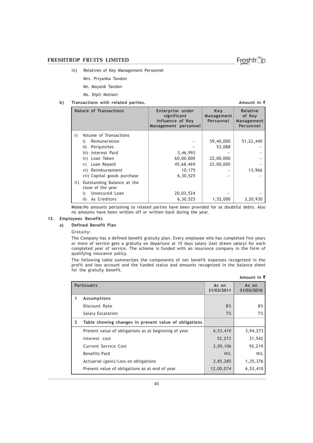- iii) Relatives of Key Management Personnel
	- Mrs. Priyanka Tandon
		- Mr. Mayank Tandon
		- Ms. Dipti Motiani

### b) Transactions with related parties. Amount in  $\bar{z}$

| <b>Nature of Transactions</b> |                                                 | Enterprise under<br>significant<br>influence of Key<br>Management personnel | Key<br>Management<br>Personnel | Relative<br>of Key<br>Management<br>Personnel |
|-------------------------------|-------------------------------------------------|-----------------------------------------------------------------------------|--------------------------------|-----------------------------------------------|
| $\Box$                        | Volume of Transactions                          |                                                                             |                                |                                               |
|                               | Remuneration<br>i)                              |                                                                             | 59,40,000                      | 51,22,440                                     |
|                               | ii)<br>Perguisites                              |                                                                             | 53,088                         |                                               |
|                               | iii) Interest Paid                              | 3,46,993                                                                    |                                |                                               |
|                               | iv) Loan Taken                                  | 60,00,000                                                                   | 22,00,000                      |                                               |
|                               | Loan Repaid<br>V)                               | 45,68,469                                                                   | 22,00,000                      |                                               |
|                               | vi) Reimbursement                               | 10,175                                                                      |                                | 13,966                                        |
|                               | vii) Capital goods purchase                     | 6,30,525                                                                    |                                |                                               |
| $\vert \vert \vert$           | Outstanding Balance at the<br>close of the year |                                                                             |                                |                                               |
|                               | Unsecured Loan<br>i)                            | 20,03,524                                                                   |                                |                                               |
|                               | As Creditors<br>ii)                             | 6,30,525                                                                    | 1,52,000                       | 3,20,930                                      |

Note:No amounts pertaining to related parties have been provided for as doubtful debts. Also no amounts have been written off or written back during the year.

### 13. Employees Benefits

### a) Defined Benefit Plan

Gratuity:

The Company has a defined benefit gratuity plan. Every employee who has completed five years or more of service gets a gratuity on departure at 15 days salary (last drawn salary) for each completed year of service. The scheme is funded with an insurance company in the form of qualifying insurance policy.

The following table summarizes the components of net benefit expenses recognized in the profit and loss account and the funded status and amounts recognized in the balance sheet for the gratuity benefit.

| Amount in $\bar{\zeta}$ |                                                       |                     |                     |  |  |
|-------------------------|-------------------------------------------------------|---------------------|---------------------|--|--|
|                         | <b>Particualrs</b>                                    | As on<br>31/03/2011 | As on<br>31/03/2010 |  |  |
| 1                       | Assumptions                                           |                     |                     |  |  |
|                         | Discount Rate                                         | 8%                  | 8%                  |  |  |
|                         | Salary Escalation                                     | 7%                  | 7%                  |  |  |
| $\mathbf{2}$            | Table showing changes in present value of obligations |                     |                     |  |  |
|                         | Present value of obligations as at beginning of year  | 6,53,410            | 3,94,273            |  |  |
|                         | Interest cost                                         | 52,273              | 31,542              |  |  |
|                         | Current Service Cost                                  | 2,09,106            | 92,219              |  |  |
|                         | <b>Benefits Paid</b>                                  | <b>NIL</b>          | <b>NIL</b>          |  |  |
|                         | Actuarial (gain)/Loss on obligations                  | 2,85,285            | 1,35,376            |  |  |
|                         | Present value of obligations as at end of year        | 12,00,074           | 6,53,410            |  |  |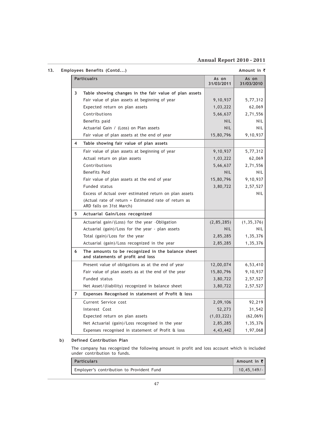### Annual Report 2010 - 2011

13. Employees Benefits (Contd...) Amount in  $\bar{z}$ 

|                | <b>Particualrs</b>                                                                     | As on<br>31/03/2011 | As on<br>31/03/2010 |
|----------------|----------------------------------------------------------------------------------------|---------------------|---------------------|
| 3              | Table showing changes in the fair value of plan assets                                 |                     |                     |
|                | Fair value of plan assets at beginning of year                                         | 9,10,937            | 5,77,312            |
|                | Expected return on plan assets                                                         | 1,03,222            | 62,069              |
|                | Contributions                                                                          | 5,66,637            | 2,71,556            |
|                | Benefits paid                                                                          | <b>NIL</b>          | <b>NIL</b>          |
|                | Actuarial Gain / (Loss) on Plan assets                                                 | <b>NIL</b>          | <b>NIL</b>          |
|                | Fair value of plan assets at the end of year                                           | 15,80,796           | 9,10,937            |
| 4              | Table showing fair value of plan assets                                                |                     |                     |
|                | Fair value of plan assets at beginning of year                                         | 9,10,937            | 5,77,312            |
|                | Actual return on plan assets                                                           | 1,03,222            | 62,069              |
|                | Contributions                                                                          | 5,66,637            | 2,71,556            |
|                | <b>Benefits Paid</b>                                                                   | <b>NIL</b>          | <b>NIL</b>          |
|                | Fair value of plan assets at the end of year                                           | 15,80,796           | 9,10,937            |
|                | Funded status                                                                          | 3,80,722            | 2,57,527            |
|                | Excess of Actual over estimated return on plan assets                                  |                     | <b>NIL</b>          |
|                | (Actual rate of return = Estimated rate of return as<br>ARD falls on 31st March)       |                     |                     |
| 5              | Actuarial Gain/Loss recognized                                                         |                     |                     |
|                | Actuarial gain/(Loss) for the year -Obligation                                         | (2, 85, 285)        | (1, 35, 376)        |
|                | Actuarial (gain)/Loss for the year - plan assets                                       | <b>NIL</b>          | <b>NIL</b>          |
|                | Total (gain)/Loss for the year                                                         | 2,85,285            | 1,35,376            |
|                | Actuarial (gain)/Loss recognized in the year                                           | 2,85,285            | 1,35,376            |
| 6              | The amounts to be recognized in the balance sheet<br>and statements of profit and loss |                     |                     |
|                | Present value of obligations as at the end of year                                     | 12,00,074           | 6,53,410            |
|                | Fair value of plan assets as at the end of the year                                    | 15,80,796           | 9,10,937            |
|                | Funded status                                                                          | 3,80,722            | 2,57,527            |
|                | Net Asset/(liability) recognized in balance sheet                                      | 3,80,722            | 2,57,527            |
| $\overline{7}$ | Expenses Recognised in statement of Profit & loss                                      |                     |                     |
|                | Current Service cost                                                                   | 2,09,106            | 92,219              |
|                | Interest Cost                                                                          | 52,273              | 31,542              |
|                | Expected return on plan assets                                                         | (1,03,222)          | (62,069)            |
|                | Net Actuarial (gain)/Loss recognised in the year                                       | 2,85,285            | 1,35,376            |
|                | Expenses recognised in statement of Profit & loss                                      | 4,43,442            | 1,97,068            |

### b) Defined Contribution Plan

The company has recognized the following amount in profit and loss account which is included under contribution to funds.

| <b>Particulars</b>                        | Amount in ₹l  |
|-------------------------------------------|---------------|
| Employer's contribution to Provident Fund | $10.45.149/-$ |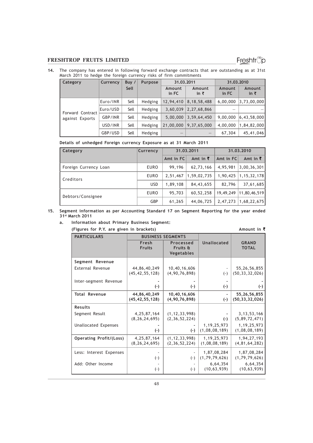14. The company has entered in following forward exchange contracts that are outstanding as at 31st March 2011 to hedge the foreign currency risks of firm commitments

| Category         | Currency | Buy / | <b>Purpose</b> | 31.03.2011      |                 | 31.03.2010      |                           |
|------------------|----------|-------|----------------|-----------------|-----------------|-----------------|---------------------------|
|                  |          | Sell  |                | Amount<br>in FC | Amount<br>in ₹  | Amount<br>in FC | Amount<br>in ₹            |
|                  | Euro/INR | Sell  | Hedging        | 12,94,410       | 8, 18, 58, 488  | 6,00,000        | 3,73,00,000               |
| Forward Contract | Euro/USD | Sell  | Hedging        | 3,60,039        | 2,27,68,866     |                 |                           |
| against Exports  | GBP/INR  | Sell  | Hedging        | 5,00,000        | 3,59,64,450     | 9,00,000        | $\vert 6,43,58,000 \vert$ |
|                  | USD/INR  | Sell  | Hedging        | 21,00,000       | 9,37,65,000     | 4,00,000        | 1,84,82,000               |
|                  | GBP/USD  | Sell  | Hedging        | $-$             | $\qquad \qquad$ | 67,304          | 45,41,046                 |

### Details of unhedged Foreign currency Exposure as at 31 March 2011

| Category              | Currency    | 31.03.2011 |                  | 31.03.2010 |                  |  |
|-----------------------|-------------|------------|------------------|------------|------------------|--|
|                       |             | Amt in FC  | Amt in $\bar{z}$ | Amt in FC  | Amt in $\bar{z}$ |  |
| Foreign Currency Loan | <b>EURO</b> | 99.196     | 62,73,166        | 4,95,981   | 3,00,36,301      |  |
| Creditors             | <b>EURO</b> | 2,51,467   | 1,59,02,735      | 1,90,425   | 1, 15, 32, 178   |  |
|                       | <b>USD</b>  | 1,89,108   | 84,43,655        | 82,796     | 37,61,685        |  |
| Debtors/Consignee     | <b>EURO</b> | 95,703     | 60,52,258        | 19,49,249  | 11,80,46,519     |  |
|                       | <b>GBP</b>  | 61,265     | 44,06,725        | 2,47,273   | 1,68,22,675      |  |

### 15. Segment information as per Accounting Standard 17 on Segment Reporting for the year ended 31st March 2011

### a. Information about Primary Business Segment:

(Figures for P.Y. are given in brackets) Amount in  $\bar{z}$ 

| <b>PARTICULARS</b>             | <b>BUSINESS SEGMENTS</b>           |                                            |                                 |                                      |
|--------------------------------|------------------------------------|--------------------------------------------|---------------------------------|--------------------------------------|
|                                | Fresh<br><b>Fruits</b>             | Processed<br>Fruits &<br><b>Vegetables</b> | <b>Unallocated</b>              | <b>GRAND</b><br><b>TOTAL</b>         |
| Segment Revenue                |                                    |                                            |                                 |                                      |
| <b>External Revenue</b>        | 44,86,40,249<br>(45, 42, 55, 128)  | 10,40,16,606<br>(4, 90, 76, 898)           | $(-)$                           | 55, 26, 56, 855<br>(50, 33, 32, 026) |
| Inter-segment Revenue          |                                    |                                            |                                 |                                      |
|                                | $(\cdot)$                          | $(\cdot)$                                  | $(\cdot)$                       | $(-)$                                |
| <b>Total Revenue</b>           | 44,86,40,249<br>(45, 42, 55, 128)  | 10,40,16,606<br>(4,90,76,898)              | $(\cdot)$                       | 55,26,56,855<br>(50, 33, 32, 026)    |
| Results                        |                                    |                                            |                                 |                                      |
| Segment Result                 | 4, 25, 87, 164<br>(8, 26, 24, 695) | (1, 12, 33, 998)<br>(2, 36, 52, 224)       | $(\cdot)$                       | 3, 13, 53, 166<br>(5, 89, 72, 471)   |
| <b>Unallocated Expenses</b>    | $(\cdot)$                          | $(\cdot)$                                  | 1, 19, 25, 973<br>(1,08,08,189) | 1, 19, 25, 973<br>(1,08,08,189)      |
| <b>Operating Profit/(Loss)</b> | 4, 25, 87, 164<br>(8, 26, 24, 695) | (1, 12, 33, 998)<br>(2, 36, 52, 224)       | 1, 19, 25, 973<br>(1,08,08,189) | 1,94,27,193<br>(4, 81, 64, 282)      |
| Less: Interest Expenses        | $(\cdot)$                          | $(\cdot)$                                  | 1,87,08,284<br>(1, 79, 79, 626) | 1,87,08,284<br>(1, 79, 79, 626)      |
| Add: Other Income              | $(\cdot)$                          | $(-)$                                      | 6,64,354<br>(10, 63, 939)       | 6,64,354<br>(10, 63, 939)            |

Freshtrop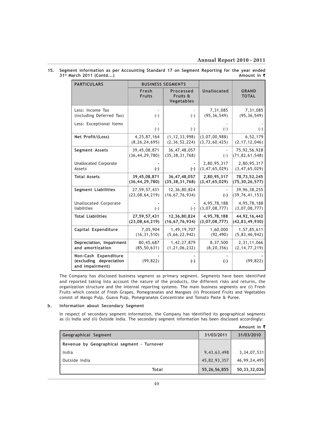### Annual Report 2010 - 2011

| 15. Segment information as per Accounting Standard 17 on Segment Reporting for the year ended |  |  |  |  |             |
|-----------------------------------------------------------------------------------------------|--|--|--|--|-------------|
| 31 <sup>st</sup> March 2011 (Contd)                                                           |  |  |  |  | Amount in ₹ |

| <b>PARTICULARS</b>                                                 |                                    | <b>BUSINESS SEGMENTS</b>             |                                   |                                      |
|--------------------------------------------------------------------|------------------------------------|--------------------------------------|-----------------------------------|--------------------------------------|
|                                                                    | Fresh<br><b>Fruits</b>             | Processed<br>Fruits &<br>Vegetables  | Unallocated                       | <b>GRAND</b><br><b>TOTAL</b>         |
| Less: Income Tax<br>(including Deferred Tax)                       | $(-)$                              | $(-)$                                | 7,31,085<br>(95, 36, 549)         | 7,31,085<br>(95, 36, 549)            |
| Less: Exceptional Items                                            | $(-)$                              | $(-)$                                | $(-)$                             | $(-)$                                |
| Net Profit/(Loss)                                                  | 4, 25, 87, 164<br>(8, 26, 24, 695) | (1, 12, 33, 998)<br>(2, 36, 52, 224) | (3,07,00,988)<br>(3, 72, 60, 425) | 6,52,179<br>(2, 17, 12, 046)         |
| Segment Assets                                                     | 39,45,08,871<br>(36, 44, 29, 780)  | 36,47,48,057<br>(35, 38, 31, 768)    | $(-)$                             | 75, 92, 56, 928<br>(71, 82, 61, 548) |
| <b>Unallocated Corporate</b><br>Assets                             | $(-)$                              | $(-)$                                | 2,80,95,317<br>(3, 47, 65, 029)   | 2,80,95,317<br>(3, 47, 65, 029)      |
| <b>Total Assets</b>                                                | 39,45,08,871<br>(36, 44, 29, 780)  | 36,47,48,057<br>(35, 38, 31, 768)    | 2,80,95,317<br>(3, 47, 65, 029)   | 78,73,52,245<br>(75, 30, 26, 577)    |
| <b>Segment Liabilities</b>                                         | 27,59,57,431<br>(23,08,64,219)     | 12,36,80,824<br>(16, 67, 76, 934)    | $(-)$                             | 39,96,38,255<br>(39, 76, 41, 153)    |
| <b>Unallocated Corporate</b><br>liabilities                        | $(\cdot)$                          | $(-)$                                | 4,95,78,188<br>(3,07,08,777)      | 4,95,78,188<br>(3,07,08,777)         |
| <b>Total Liabilities</b>                                           | 27,59,57,431<br>(23,08,64,219)     | 12,36,80,824<br>(16, 67, 76, 934)    | 4,95,78,188<br>(3,07,08,777)      | 44,92,16,443<br>(42, 83, 49, 930)    |
| Capital Expenditure                                                | 7,05,904<br>(16, 31, 510)          | 1,49,19,707<br>(5,66,22,942)         | 1,60,000<br>(92, 490)             | 1,57,85,611<br>(5, 83, 46, 942)      |
| Depreciation, Impairment<br>and amortization                       | 80,45,687<br>(85, 50, 631)         | 1,42,27,879<br>(1, 21, 06, 232)      | 8,37,500<br>(8, 20, 356)          | 2,31,11,066<br>(2, 14, 77, 219)      |
| Non-Cash Expenditure<br>(excluding depreciation<br>and impairment) | (99, 822)                          | $(-)$                                | $(-)$                             | (99, 822)                            |

The Company has disclosed business segment as primary segment. Segments have been identified and reported taking into account the nature of the products, the different risks and returns, the organization structure and the internal reporting systems. The main business segments are (i) Fresh Fruits which consist of Fresh Grapes, Pomegranates and Mangoes (ii) Processed Fruits and Vegetables consist of Mango Pulp, Guava Pulp, Pomegranates Concentrate and Tomato Paste & Puree.

### b. Information about Secondary Segment

In respect of secondary segment information, the Company has identified its geographical segments as (i) India and (ii) Outside India. The secondary segment information has been disclosed accordingly:

|                                            |              | Amount in $\bar{\mathbf{z}}$ |
|--------------------------------------------|--------------|------------------------------|
| Geographical Segment                       | 31/03/2011   | 31/03/2010                   |
| Revenue by Geographical segment - Turnover |              |                              |
| India                                      | 9,43,63,498  | 3,34,07,531                  |
| Outside India                              | 45,82,93,357 | 46,99,24,495                 |
| <b>Total</b>                               | 55,26,56,855 | 50, 33, 32, 026              |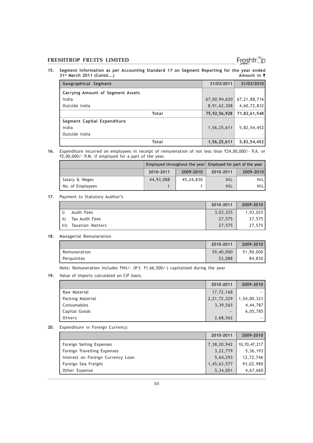## Freshtr<sup>®</sup>p

15. Segment information as per Accounting Standard 17 on Segment Reporting for the year ended<br>31<sup>st</sup> March 2011 (Contd...)  $31<sup>st</sup>$  March 2011 (Contd...)

| Geographical Segment              | 31/03/2011     | 31/03/2010      |
|-----------------------------------|----------------|-----------------|
| Carrying Amount of Segment Assets |                |                 |
| India                             | 67,00,94,620   | 67, 21, 88, 716 |
| Outside India                     | 8,91,62,308    | 4,60,72,832     |
| Total                             | 75,92,56,928   | 71,82,61,548    |
| Segment Capital Expenditure       |                |                 |
| India                             | 1, 56, 25, 611 | 5,82,54,452     |
| Outside India                     |                |                 |
| Total                             | 1,56,25,611    | 5,82,54,452     |

16. Expenditure incurred on employees in receipt of remuneration of not less than `24,00,000/- P.A. or  $\overline{2,00,000}$ /- P.M. if employed for a part of the year.

|                  |           |           | Employed throughout the year Employed for part of the year |            |  |
|------------------|-----------|-----------|------------------------------------------------------------|------------|--|
|                  | 2010-2011 | 2009-2010 | 2010-2011                                                  | 2009-2010  |  |
| Salary & Wages   | 44,93,088 | 45,24,830 | <b>NIL</b>                                                 | <b>NIL</b> |  |
| No. of Employees |           |           | <b>NIL</b>                                                 | <b>NIL</b> |  |

### 17. Payment to Statutory Auditor's

|      |                  | 2010-2011 | 2009-2010 |
|------|------------------|-----------|-----------|
|      | Audit Fees       | 3,03,325  | 1,93,025  |
| ii)  | Tax Audit Fees   | 27.575    | 27.575    |
| iii) | Taxation Matters | 27.575    | 27,575    |

### 18. Managerial Remuneration

|              | 2010-2011 | 2009-2010 |
|--------------|-----------|-----------|
| Remuneration | 59,40,000 | 51,90,000 |
| Perguisites  | 53,088    | 84.830    |

Note: Remuneration includes ₹Nil/- (P.Y. ₹1,66,500/-) capitalised during the year

19. Value of Imports calculated on CIF basis.

|                  | 2010-2011      | 2009-2010   |
|------------------|----------------|-------------|
| Raw Material     | 17,72,168      |             |
| Packing Material | 2, 21, 72, 329 | 1,54,00,323 |
| Consumables      | 3,39,565       | 4,44,787    |
| Capital Goods    |                | 6,05,785    |
| Others           | 2,68,562       |             |

20. Expenditure in Foreign Currency:

|                                   | 2010-2011   | 2009-2010    |
|-----------------------------------|-------------|--------------|
| Foreign Selling Expenses          | 7,38,20,942 | 10,70,47,217 |
| Foreign Travelling Expenses       | 3, 22, 779  | 5,36,193     |
| Interest on Foreign Currency Loan | 5,64,293    | 12,72,746    |
| Foreign Sea Freight               | 1,45,63,577 | 93,02,980    |
| Other Expense                     | 5,34,001    | 4,67,660     |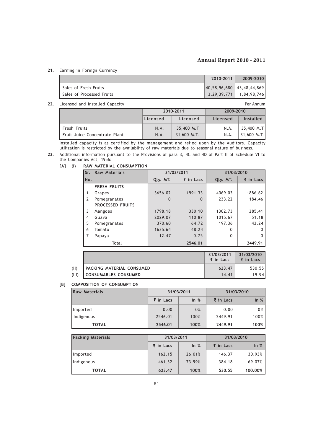### Annual Report 2010 - 2011

21. Earning in Foreign Currency

|                           | 2010-2011                 | 2009-2010                   |
|---------------------------|---------------------------|-----------------------------|
| Sales of Fresh Fruits     | 40,58,96,680 43,48,44,869 |                             |
| Sales of Processed Fruits |                           | $3,29,39,771$   1,84,98,746 |

### 22. Licensed and Installed Capacity **Per Annum** Per Annum

 2010-2011 2009-2010 Licensed | Licensed | Licensed | Installed Fresh Fruits **N.A.** 35,400 M.T N.A. 35,400 M.T Fruit Juice Concentrate Plant | N.A. | 31,600 M.T. | N.A. | 31,600 M.T.

Installed capacity is as certified by the management and relied upon by the Auditors. Capacity utilization is restricted by the availability of raw materials due to seasonal nature of business.

23. Additional information pursuant to the Provisions of para 3, 4C and 4D of Part II of Schedule VI to the Companies Act, 1956:

| Sr.                      | <b>Raw Materials</b>    |          | 31/03/2011               | 31/03/2010 |                          |  |
|--------------------------|-------------------------|----------|--------------------------|------------|--------------------------|--|
| No.                      |                         | Qty. MT. | $\overline{\xi}$ in Lacs | Qty. MT.   | $\overline{\xi}$ in Lacs |  |
|                          | <b>FRESH FRUITS</b>     |          |                          |            |                          |  |
| 1                        | Grapes                  | 3656.02  | 1991.33                  | 4069.03    | 1886.62                  |  |
| $\overline{2}$           | Pomegranates            | $\Omega$ | $\Omega$                 |            | 184.46                   |  |
|                          | <b>PROCESSED FRUITS</b> |          |                          |            |                          |  |
| 3                        | Mangoes                 | 1798.18  | 330.10                   | 1302.73    | 285.41                   |  |
| $\overline{\mathcal{A}}$ | Guava                   | 2029.07  | 110.87                   | 1015.67    | 51.18                    |  |
| 5                        | Pomegranates            | 370.60   | 64.72                    | 197.36     | 42.24                    |  |
| 6                        | Tomato                  | 1635.64  | 48.24                    | $\Omega$   | 0                        |  |
| 7                        | Papaya                  | 12.47    | 0.75                     | $\Omega$   | O                        |  |
|                          | <b>Total</b>            |          | 2546.01                  |            | 2449.91                  |  |

#### [A] (I) RAW MATERIAL CONSUMPTION

|       |                                  | 31/03/2011<br>$\bar{\mathbf{x}}$ in Lacs | 31/03/2010<br>$\overline{\xi}$ in Lacs |
|-------|----------------------------------|------------------------------------------|----------------------------------------|
| (II)  | <b>PACKING MATERIAL CONSUMED</b> | 623.47                                   | 530.551                                |
| (III) | CONSUMABLES CONSUMED             | 14.41                                    | 19.941                                 |

### [B] COMPOSITION OF CONSUMPTION

| <b>Raw Materials</b> |                      | 31/03/2011 | 31/03/2010           |      |  |
|----------------------|----------------------|------------|----------------------|------|--|
|                      | $\bar{\tau}$ in Lacs | ln %       | $\bar{\tau}$ in Lacs | ln % |  |
| Imported             | 0.00                 | 0%         | 0.00                 | 0%   |  |
| Indigenous           | 2546.01              | 100%       | 2449.91              | 100% |  |
| <b>TOTAL</b>         | 2546.01              | 100%       | 2449.91              | 100% |  |

| <b>Packing Materials</b> | 31/03/2011               |        | 31/03/2010               |         |  |
|--------------------------|--------------------------|--------|--------------------------|---------|--|
|                          | $\overline{\xi}$ in Lacs | $ln$ % | $\overline{\xi}$ in Lacs | ln %    |  |
| Imported                 | 162.15                   | 26.01% | 146.37                   | 30.93%  |  |
| Indigenous               | 461.32                   | 73.99% | 384.18                   | 69.07%  |  |
| <b>TOTAL</b>             | 623.47                   | 100%   | 530.55                   | 100.00% |  |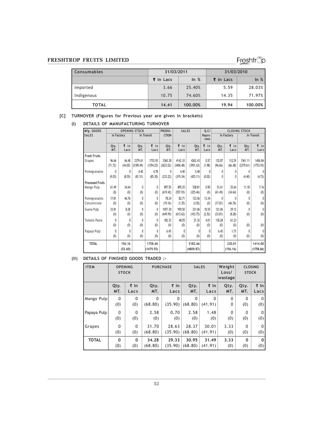Freshtrop

| <b>Consumables</b> | 31/03/2011                         |         | 31/03/2010               |         |  |
|--------------------|------------------------------------|---------|--------------------------|---------|--|
|                    | $\overline{\xi}$ in Lacs<br>In $%$ |         | $\overline{\xi}$ in Lacs | ln %    |  |
| Imported           | 3.66                               | 25.40%  | 5.59                     | 28.03%  |  |
| Indigenous         | 10.75                              | 74.60%  | 14.35                    | 71.97%  |  |
| <b>TOTAL</b>       | 14.41                              | 100.00% | 19.94                    | 100.00% |  |

### [C] TURNOVER (Figures for Previous year are given in brackets)

### (I) DETAILS OF MANUFACTURING TURNOVER

| Mfg. GOODS              | <b>SALES</b><br><b>OPENING STOCK</b><br>PRODU- |              |             | Q.C          |              |             | <b>CLOSING STOCK</b> |                |             |              |             |              |
|-------------------------|------------------------------------------------|--------------|-------------|--------------|--------------|-------------|----------------------|----------------|-------------|--------------|-------------|--------------|
| <b>SALES</b>            | In Factory                                     |              | In Transit  |              | <b>CTION</b> |             |                      | Repro<br>-cess |             | In Factory   |             | In Transit   |
|                         | Qty.<br>MT.                                    | ₹in<br>Lacs  | Qty.<br>MT. | ₹ in<br>Lacs | Qty.<br>MT.  | ₹in<br>Lacs | Qty.<br>MT.          | ₹in<br>Lacs    | Qty.<br>MT. | ₹ in<br>Lacs | Qty.<br>MT. | ₹ in<br>Lacs |
| <b>Fresh Fruits</b>     |                                                |              |             |              |              |             |                      |                |             |              |             |              |
| Grapes                  | 96.66                                          | 66.48        | 2379.61     | 1753.93      | 3360.38      | 4142.10     | 4262.43              | 0.57           | 132.87      | 112.29       | 1561.11     | 1406.84      |
|                         | (71.72)                                        | (44.05)      | (2189.49)   | (1394.25)    | (3623.52)    | (3406.48)   | (3951.63)            | (1.98)         | (96.66)     | (66.48)      | (2379.61)   | (1753.93)    |
| Pomegranates            | 0                                              | 0            | 4.40        | 4.78         | 0            | 4.40        | 5.48                 | 0              | 0           | 0            | 0           | $\mathbf{0}$ |
|                         | (9.03)                                         | (8.55)       | (81.51)     | (85.30)      | (233.22)     | (319.34)    | (425.11)             | (0.02)         | 0           | 0            | (4.40)      | (4.73)       |
| <b>Processed Fruits</b> |                                                |              |             |              |              |             |                      |                |             |              |             |              |
| Mango Pulp              | 61.49                                          | 34.64        | 0           | 0            | 897.55       | 895.35      | 538.81               | 0.90           | 51.61       | 25.64        | 11.18       | 7.16         |
|                         | (0)                                            | (0)          | (0)         | (0)          | (619.42)     | (557.93)    | (325.46)             | (0)            | (61.49)     | (34.64)      | (0)         | (0)          |
| Pomegranates            | 17.81                                          | 46.76        | $\theta$    | 0            | 78.24        | 82.71       | 123.56               | 13.34          | 0           | 0            | 0           | $\theta$     |
| Concentrate             | (0)                                            | (0)          | (0)         | (0)          | (19.16)      | (1.35)      | (3.92)               | (0)            | (17.81)     | (46.76)      | (0)         | (0)          |
| Guava Pulp              | 33.81                                          | 8.28         | $\theta$    | $\theta$     | 1057.30      | 959.50      | 231.06               | 10.55          | 121.06      | 29.12        | 0           | $\mathbf{0}$ |
|                         | (0)                                            | (0)          | (0)         | (0)          | (649.95)     | (613.62)    | (103.75)             | (2.52)         | (33.81)     | (8.28)       | (0)         | (0)          |
| Tomato Paste            | 0                                              | $\mathbf{0}$ | $\theta$    | 0            | 182.33       | 48.05       | 21.32                | 4.01           | 130.28      | 61.23        |             |              |
|                         | (0)                                            | (0)          | (0)         | (0)          | (0)          | (0)         | (0)                  | (0)            | (0)         | (0)          | (0)         | (0)          |
| Papaya Pulp             | 0                                              | 0            | $\theta$    | 0            | 6.45         | $\theta$    | 0                    | $\theta$       | 6.45        | 1.73         | 0           | $\theta$     |
|                         | (0)                                            | (0)          | (0)         | (0)          | (0)          | (0)         | (0)                  | (0)            | (0)         | (0)          | (0)         | (0)          |
| <b>TOTAL</b>            |                                                | 156.16       |             | 1758.66      |              |             | 5182.66              |                |             | 230.01       |             | 1414.00      |
|                         |                                                | (52, 60)     |             | (1479.55)    |              |             | (4809.87)            |                |             | (156.16)     |             | (1758.66)    |

### (II) DETAILS OF FINISHED GOODS TRADED :-

| <b>ITEM</b>  | <b>OPENING</b><br><b>STOCK</b> |                     | <b>PURCHASE</b> |                     | <b>SALES</b> |                     | Weight<br>Loss/<br>wastage | <b>STOCK</b> | <b>CLOSING</b>       |
|--------------|--------------------------------|---------------------|-----------------|---------------------|--------------|---------------------|----------------------------|--------------|----------------------|
|              | Qty.                           | $\overline{\xi}$ in | Qty.            | $\overline{\xi}$ in | Qty.         | $\overline{\xi}$ in | Qty.                       | Qty.         | $\overline{\tau}$ in |
|              | MT.                            | Lacs                | MT.             | Lacs                | MT.          | Lacs                | MT.                        | MT.          | Lacs                 |
| Mango Pulp   | $\mathbf{0}$                   | 0                   | $\Omega$        | $\Omega$            | $\mathbf{0}$ | $\Omega$            | $\mathbf{0}$               | $\Omega$     | 0                    |
|              | (0)                            | (0)                 | (68.80)         | (35.90)             | (68.80)      | (41.91)             | 0                          | (0)          | (0)                  |
| Papaya Pulp  | $\mathbf{0}$                   | 0                   | 2.58            | 0.70                | 2.58         | 1.48                | 0                          | $\Omega$     | 0                    |
|              | (0)                            | (0)                 | (0)             | (0)                 | (0)          | (0)                 | (0)                        | (0)          | (0)                  |
| Grapes       | 0                              | 0                   | 31.70           | 28.63               | 28.37        | 30.01               | 3.33                       | $\Omega$     | 0                    |
|              | (0)                            | (0)                 | (68.80)         | (35.90)             | (68.80)      | (41.91)             | (0)                        | (0)          | (0)                  |
| <b>TOTAL</b> | $\Omega$                       | 0                   | 34.28           | 29.33               | 30.95        | 31.49               | 3.33                       | $\Omega$     | 0                    |
|              | (0)                            | (0)                 | (68.80)         | (35.90)             | (68.80)      | (41.91)             | (0)                        | (0)          | (0)                  |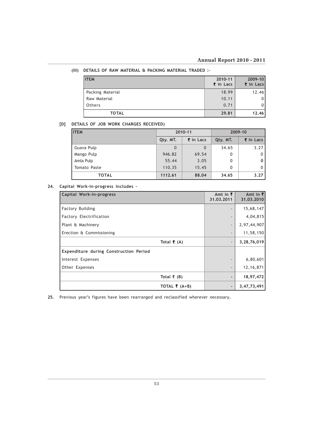### (III) DETAILS OF RAW MATERIAL & PACKING MATERIAL TRADED :-

| <b>ITEM</b>      | 2010-11<br>₹ in Lacs | $2009 - 10$<br>₹ in Lacs |
|------------------|----------------------|--------------------------|
| Packing Material | 18.99                | 12.46                    |
| Raw Material     | 10.11                | 01                       |
| Others           | 0.71                 | 01                       |
| <b>TOTAL</b>     | 29.81                | 12.46                    |

### [D] DETAILS OF JOB WORK CHARGES RECEIVED)

| <b>ITEM</b>  | 2010-11  |           | 2009-10  |                      |  |
|--------------|----------|-----------|----------|----------------------|--|
|              | Qty. MT. | ₹ in Lacs | Qty. MT. | $\bar{\tau}$ in Lacs |  |
| Guava Pulp   | $\Omega$ | $\Omega$  | 34.65    | 3.27                 |  |
| Mango Pulp   | 946.82   | 69.54     | 0        | 0                    |  |
| Amla Pulp    | 55.44    | 3.05      | 0        | 0                    |  |
| Tomato Paste | 110.35   | 15.45     | 0        | 0                    |  |
| <b>TOTAL</b> | 1112.61  | 88.04     | 34.65    | 3.27                 |  |

### 24. Capital Work-in-progress includes –

| Capital Work-in-progress               | Amt in $\bar{z}$<br>31.03.2011 | Amt in $\bar{z}$<br>31.03.2010 |
|----------------------------------------|--------------------------------|--------------------------------|
| <b>Factory Building</b>                | $\overline{\phantom{a}}$       | 15,68,147                      |
| Factory Electrification                | $\overline{\phantom{a}}$       | 4,04,815                       |
| Plant & Machinery                      | $\overline{\phantom{a}}$       | 2,97,44,907                    |
| Erection & Commissioning               | $\overline{\phantom{a}}$       | 11,58,150                      |
| Total $\bar{\tau}$ (A)                 | $\overline{\phantom{a}}$       | 3,28,76,019                    |
| Expenditure during Construction Period |                                |                                |
| Interest Expenses                      |                                | 6,80,601                       |
| Other Expenses                         | $\overline{\phantom{a}}$       | 12, 16, 871                    |
| Total $\bar{\tau}$ (B)                 | $\overline{\phantom{0}}$       | 18,97,472                      |
| TOTAL $\bar{\tau}$ (A+B)               | $\qquad \qquad \blacksquare$   | 3,47,73,491                    |

25. Previous year's figures have been rearranged and reclassified wherever necessary.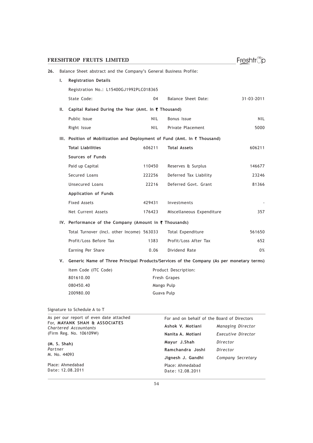| ı. | <b>Registration Details</b>                                                              |            |                           |                  |
|----|------------------------------------------------------------------------------------------|------------|---------------------------|------------------|
|    | Registration No.: L15400GJ1992PLC018365                                                  |            |                           |                  |
|    | State Code:                                                                              | 04         | Balance Sheet Date:       | $31 - 03 - 2011$ |
| Ш. | Capital Raised During the Year (Amt. In ₹ Thousand)                                      |            |                           |                  |
|    | Public Issue                                                                             | <b>NIL</b> | Bonus Issue               | <b>NIL</b>       |
|    | Right Issue                                                                              | NIL.       | Private Placement         | 5000             |
|    | III. Position of Mobilization and Deployment of Fund (Amt. In ₹ Thousand)                |            |                           |                  |
|    | <b>Total Liabilities</b>                                                                 | 606211     | <b>Total Assets</b>       | 606211           |
|    | Sources of Funds                                                                         |            |                           |                  |
|    | Paid up Capital                                                                          | 110450     | Reserves & Surplus        | 146677           |
|    | Secured Loans                                                                            | 222256     | Deferred Tax Liability    | 23246            |
|    | Unsecured Loans                                                                          | 22216      | Deferred Govt. Grant      | 81366            |
|    | Application of Funds                                                                     |            |                           |                  |
|    | <b>Fixed Assets</b>                                                                      | 429431     | Investments               |                  |
|    | Net Current Assets                                                                       | 176423     | Miscellaneous Expenditure | 357              |
|    | IV. Performance of the Company (Amount in ₹ Thousands)                                   |            |                           |                  |
|    | Total Turnover (Incl. other Income) 563033                                               |            | Total Expenditure         | 561650           |
|    | Profit/Loss Before Tax                                                                   | 1383       | Profit/Loss After Tax     | 652              |
|    | Earning Per Share                                                                        | 0.06       | Dividend Rate             | 0%               |
| ۷. | Generic Name of Three Principal Products/Services of the Company (As per monetary terms) |            |                           |                  |
|    | Item Code (ITC Code)                                                                     |            | Product Description:      |                  |
|    | 801610.00                                                                                |            | Fresh Grapes              |                  |
|    | 080450.40                                                                                |            | Mango Pulp                |                  |
|    | 200980.00                                                                                |            | Guava Pulp                |                  |
|    |                                                                                          |            |                           |                  |

Freshtrop

### 26. Balance Sheet abstract and the Company's General Business Profile:

### Signature to Schedule A to T

| As per our report of even date attached                | For and on behalf of the Board of Directors |                    |
|--------------------------------------------------------|---------------------------------------------|--------------------|
| For, MAYANK SHAH & ASSOCIATES<br>Chartered Accountants | Ashok V. Motiani                            | Managing Director  |
| (Firm Reg. No. 106109W)                                | Nanita A. Motiani                           | Executive Director |
| (M. S. Shah)                                           | Mayur J.Shah                                | Director           |
| Partner                                                | Ramchandra Joshi                            | Director           |
| M. No. 44093                                           | Jignesh J. Gandhi                           | Company Secretary  |
| Place: Ahmedabad<br>Date: 12.08.2011                   | Place: Ahmedabad<br>Date: 12.08.2011        |                    |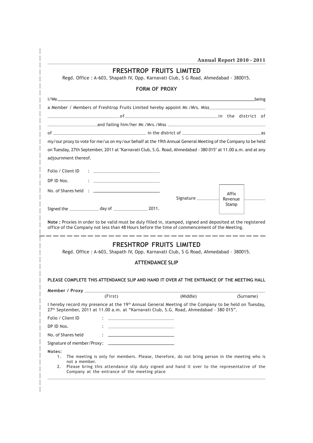| Annual Report 2010 - 2011 |  |  |  |  |
|---------------------------|--|--|--|--|
|---------------------------|--|--|--|--|

| <b>FRESHTROP FRUITS LIMITED</b><br>Regd. Office: A-603, Shapath IV, Opp. Karnavati Club, S G Road, Ahmedabad - 380015.                                                                                                                                                              |                     |                  |
|-------------------------------------------------------------------------------------------------------------------------------------------------------------------------------------------------------------------------------------------------------------------------------------|---------------------|------------------|
| <b>FORM OF PROXY</b>                                                                                                                                                                                                                                                                |                     |                  |
|                                                                                                                                                                                                                                                                                     |                     |                  |
| a Member / Members of Freshtrop Fruits Limited hereby appoint Mr./Mrs. Miss_________________________                                                                                                                                                                                |                     |                  |
| and the district of the district of                                                                                                                                                                                                                                                 |                     |                  |
|                                                                                                                                                                                                                                                                                     |                     |                  |
|                                                                                                                                                                                                                                                                                     |                     |                  |
| my/our proxy to vote for me/us on my/our behalf at the 19th Annual General Meeting of the Company to be held                                                                                                                                                                        |                     |                  |
| on Tuesday, 27th September, 2011 at "Karnavati Club, S.G. Road, Ahmedabad - 380 015" at 11.00 a.m. and at any                                                                                                                                                                       |                     |                  |
| adjournment thereof.                                                                                                                                                                                                                                                                |                     |                  |
| Folio / Client ID<br>the contract of the contract of the contract of the contract of the contract of the contract of the contract of                                                                                                                                                |                     |                  |
| DP ID Nos.<br>the control of the control of the control of the control of the control of                                                                                                                                                                                            |                     |                  |
|                                                                                                                                                                                                                                                                                     |                     |                  |
|                                                                                                                                                                                                                                                                                     | Signature _________ | Affix            |
|                                                                                                                                                                                                                                                                                     |                     | Revenue<br>Stamp |
|                                                                                                                                                                                                                                                                                     |                     |                  |
| Note : Proxies in order to be valid must be duly filled in, stamped, signed and deposited at the registered<br>office of the Company not less than 48 Hours before the time of commencement of the Meeting.<br><b>FRESHTROP FRUITS LIMITED</b>                                      |                     |                  |
| Regd. Office: A-603, Shapath IV, Opp. Karnavati Club, S G Road, Ahmedabad - 380015.                                                                                                                                                                                                 |                     |                  |
| <b>ATTENDANCE SLIP</b>                                                                                                                                                                                                                                                              |                     |                  |
| PLEASE COMPLETE THIS ATTENDANCE SLIP AND HAND IT OVER AT THE ENTRANCE OF THE MEETING HALL                                                                                                                                                                                           |                     |                  |
| (First)                                                                                                                                                                                                                                                                             | (Middle)            | (Surname)        |
| I hereby record my presence at the 19 <sup>th</sup> Annual General Meeting of the Company to be held on Tuesday,<br>27 <sup>th</sup> September, 2011 at 11.00 a.m. at "Karnavati Club, S.G. Road, Ahmedabad - 380 015".                                                             |                     |                  |
| Folio / Client ID<br>the process of the control of the control of the control of the control of the control of                                                                                                                                                                      |                     |                  |
| DP ID Nos.<br>the process of the control of the control of the control of the control of the control of the control of the control of the control of the control of the control of the control of the control of the control of the control                                         |                     |                  |
| No. of Shares held<br>the property of the company of the company of the company of the company of the company of                                                                                                                                                                    |                     |                  |
|                                                                                                                                                                                                                                                                                     |                     |                  |
| Notes:<br>The meeting is only for members. Please, therefore, do not bring person in the meeting who is<br>1.<br>not a member.<br>Please bring this attendance slip duly signed and hand it over to the representative of the<br>2.<br>Company at the entrance of the meeting place |                     |                  |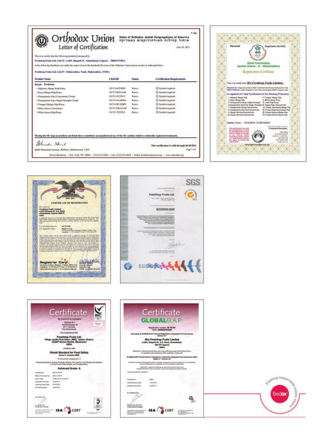| This is to certify that the following producted prepared by<br>Frederop Fruits Ltd. Unit IV, A-603, Shapath IV, Abmedahad, Gajarat, - 380015 INDEA |                                                                      |                                                                                                                                            |  |  |  |
|----------------------------------------------------------------------------------------------------------------------------------------------------|----------------------------------------------------------------------|--------------------------------------------------------------------------------------------------------------------------------------------|--|--|--|
|                                                                                                                                                    |                                                                      |                                                                                                                                            |  |  |  |
| UKB-ID                                                                                                                                             | <b>Nistan</b>                                                        | <b>Certification Requirements</b>                                                                                                          |  |  |  |
|                                                                                                                                                    |                                                                      |                                                                                                                                            |  |  |  |
| <b>OUV3-ACF4DH</b>                                                                                                                                 | Panerson                                                             | <b>ED Normbol responsed.</b>                                                                                                               |  |  |  |
| <b>OEV3-NDIAAM</b>                                                                                                                                 | Panese                                                               | Gl Symbol required.                                                                                                                        |  |  |  |
| OUV3-IF23D31                                                                                                                                       | Platetive                                                            | <b>ED Number</b> response.                                                                                                                 |  |  |  |
| <b>CEV3-43-MBM6</b>                                                                                                                                | Patene                                                               | 52 Nombol responsi                                                                                                                         |  |  |  |
| <b>OUVERSTRING</b>                                                                                                                                 | Puncture                                                             | <b>G2 Nombol negotivel.</b>                                                                                                                |  |  |  |
| <b>OUV3-EBAAIDS</b>                                                                                                                                | Panera                                                               | <b>G</b> Nymbol respond                                                                                                                    |  |  |  |
| OEVS-TIFTEE                                                                                                                                        | Parrier                                                              | ED Symbol required.                                                                                                                        |  |  |  |
|                                                                                                                                                    |                                                                      |                                                                                                                                            |  |  |  |
|                                                                                                                                                    |                                                                      |                                                                                                                                            |  |  |  |
|                                                                                                                                                    | Frederop Fruits Ltd. Unit IV- Maharashtra, Nasik, Maharashtra, INDUA | at the following facilities is are under the supervision of the Kashruth Division of the Orthodox Union and are londer as indicated below. |  |  |  |